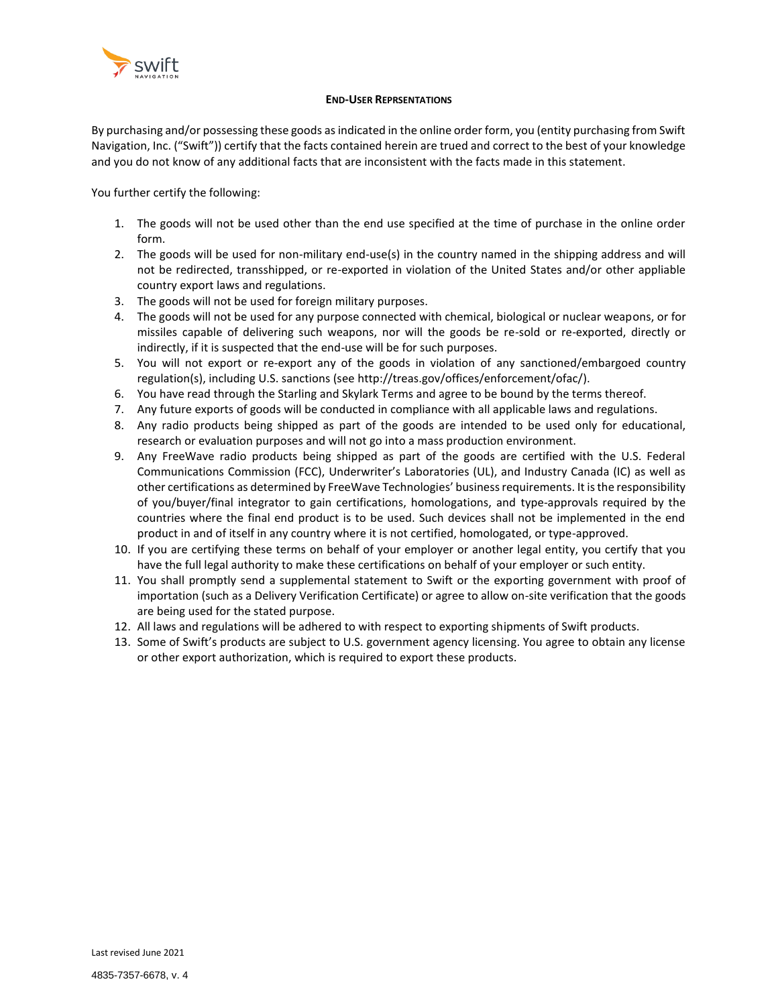

#### **END-USER REPRSENTATIONS**

<span id="page-0-0"></span>By purchasing and/or possessing these goods as indicated in the online order form, you (entity purchasing from Swift Navigation, Inc. ("Swift")) certify that the facts contained herein are trued and correct to the best of your knowledge and you do not know of any additional facts that are inconsistent with the facts made in this statement.

You further certify the following:

- 1. The goods will not be used other than the end use specified at the time of purchase in the online order form.
- 2. The goods will be used for non-military end-use(s) in the country named in the shipping address and will not be redirected, transshipped, or re-exported in violation of the United States and/or other appliable country export laws and regulations.
- 3. The goods will not be used for foreign military purposes.
- 4. The goods will not be used for any purpose connected with chemical, biological or nuclear weapons, or for missiles capable of delivering such weapons, nor will the goods be re-sold or re-exported, directly or indirectly, if it is suspected that the end-use will be for such purposes.
- 5. You will not export or re-export any of the goods in violation of any sanctioned/embargoed country regulation(s), including U.S. sanctions (se[e http://treas.gov/offices/enforcement/ofac/\)](http://treas.gov/offices/enforcement/ofac/).
- 6. You have read through the Starling and Skylark Terms and agree to be bound by the terms thereof.
- 7. Any future exports of goods will be conducted in compliance with all applicable laws and regulations.
- 8. Any radio products being shipped as part of the goods are intended to be used only for educational, research or evaluation purposes and will not go into a mass production environment.
- 9. Any FreeWave radio products being shipped as part of the goods are certified with the U.S. Federal Communications Commission (FCC), Underwriter's Laboratories (UL), and Industry Canada (IC) as well as other certifications as determined by FreeWave Technologies' business requirements. It is the responsibility of you/buyer/final integrator to gain certifications, homologations, and type-approvals required by the countries where the final end product is to be used. Such devices shall not be implemented in the end product in and of itself in any country where it is not certified, homologated, or type-approved.
- 10. If you are certifying these terms on behalf of your employer or another legal entity, you certify that you have the full legal authority to make these certifications on behalf of your employer or such entity.
- 11. You shall promptly send a supplemental statement to Swift or the exporting government with proof of importation (such as a Delivery Verification Certificate) or agree to allow on-site verification that the goods are being used for the stated purpose.
- 12. All laws and regulations will be adhered to with respect to exporting shipments of Swift products.
- 13. Some of Swift's products are subject to U.S. government agency licensing. You agree to obtain any license or other export authorization, which is required to export these products.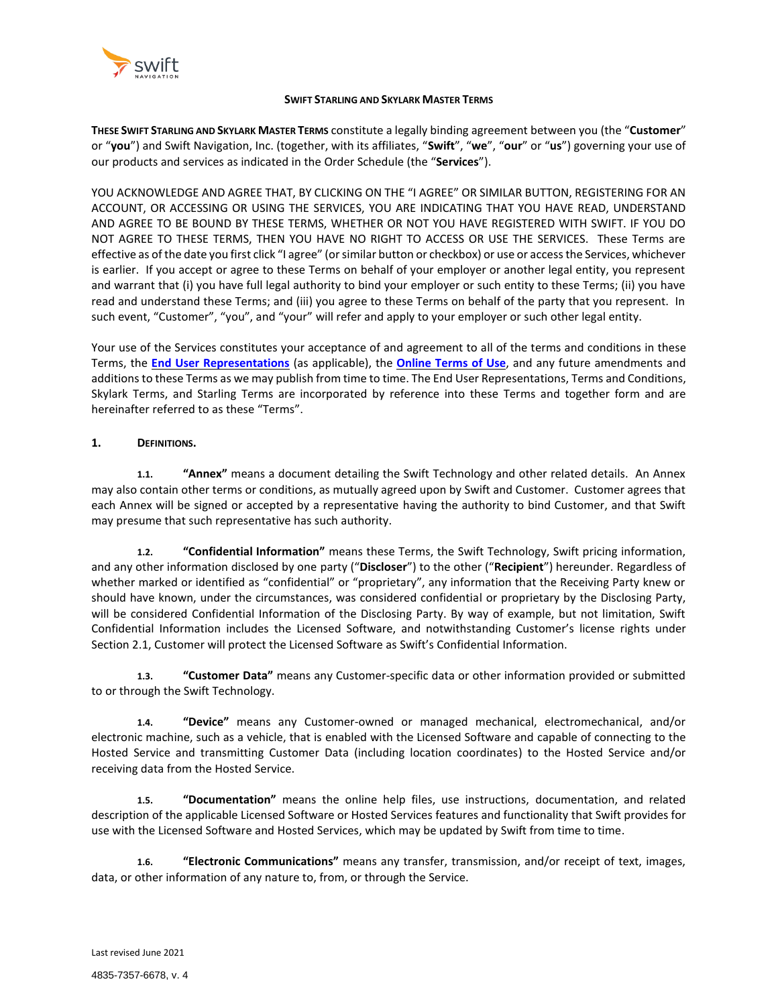

### **SWIFT STARLING AND SKYLARK MASTER TERMS**

**THESE SWIFT STARLING AND SKYLARK MASTER TERMS** constitute a legally binding agreement between you (the "**Customer**" or "**you**") and Swift Navigation, Inc. (together, with its affiliates, "**Swift**", "**we**", "**our**" or "**us**") governing your use of our products and services as indicated in the Order Schedule (the "**Services**").

YOU ACKNOWLEDGE AND AGREE THAT, BY CLICKING ON THE "I AGREE" OR SIMILAR BUTTON, REGISTERING FOR AN ACCOUNT, OR ACCESSING OR USING THE SERVICES, YOU ARE INDICATING THAT YOU HAVE READ, UNDERSTAND AND AGREE TO BE BOUND BY THESE TERMS, WHETHER OR NOT YOU HAVE REGISTERED WITH SWIFT. IF YOU DO NOT AGREE TO THESE TERMS, THEN YOU HAVE NO RIGHT TO ACCESS OR USE THE SERVICES. These Terms are effective as of the date you first click "I agree" (or similar button or checkbox) or use or access the Services, whichever is earlier. If you accept or agree to these Terms on behalf of your employer or another legal entity, you represent and warrant that (i) you have full legal authority to bind your employer or such entity to these Terms; (ii) you have read and understand these Terms; and (iii) you agree to these Terms on behalf of the party that you represent. In such event, "Customer", "you", and "your" will refer and apply to your employer or such other legal entity.

Your use of the Services constitutes your acceptance of and agreement to all of the terms and conditions in these Terms, the **End User [Representations](#page-0-0)** (as applicable), the **[Online](https://www.swiftnav.com/online-terms-and-conditions#:~:text=The%20Company%20name%20Swift%20Navigation%2C%20the%20terms%20Piksi%2C,without%20the%20prior%20written%20permission%20of%20the%20Company.) Terms of Use**, and any future amendments and additions to these Terms as we may publish from time to time. The End User Representations, Terms and Conditions, Skylark Terms, and Starling Terms are incorporated by reference into these Terms and together form and are hereinafter referred to as these "Terms".

# **1. DEFINITIONS.**

**1.1. "Annex"** means a document detailing the Swift Technology and other related details. An Annex may also contain other terms or conditions, as mutually agreed upon by Swift and Customer. Customer agrees that each Annex will be signed or accepted by a representative having the authority to bind Customer, and that Swift may presume that such representative has such authority.

**1.2. "Confidential Information"** means these Terms, the Swift Technology, Swift pricing information, and any other information disclosed by one party ("**Discloser**") to the other ("**Recipient**") hereunder. Regardless of whether marked or identified as "confidential" or "proprietary", any information that the Receiving Party knew or should have known, under the circumstances, was considered confidential or proprietary by the Disclosing Party, will be considered Confidential Information of the Disclosing Party. By way of example, but not limitation, Swift Confidential Information includes the Licensed Software, and notwithstanding Customer's license rights under Section 2.1, Customer will protect the Licensed Software as Swift's Confidential Information.

**1.3. "Customer Data"** means any Customer-specific data or other information provided or submitted to or through the Swift Technology.

**1.4. "Device"** means any Customer-owned or managed mechanical, electromechanical, and/or electronic machine, such as a vehicle, that is enabled with the Licensed Software and capable of connecting to the Hosted Service and transmitting Customer Data (including location coordinates) to the Hosted Service and/or receiving data from the Hosted Service.

**1.5. "Documentation"** means the online help files, use instructions, documentation, and related description of the applicable Licensed Software or Hosted Services features and functionality that Swift provides for use with the Licensed Software and Hosted Services, which may be updated by Swift from time to time.

**1.6. "Electronic Communications"** means any transfer, transmission, and/or receipt of text, images, data, or other information of any nature to, from, or through the Service.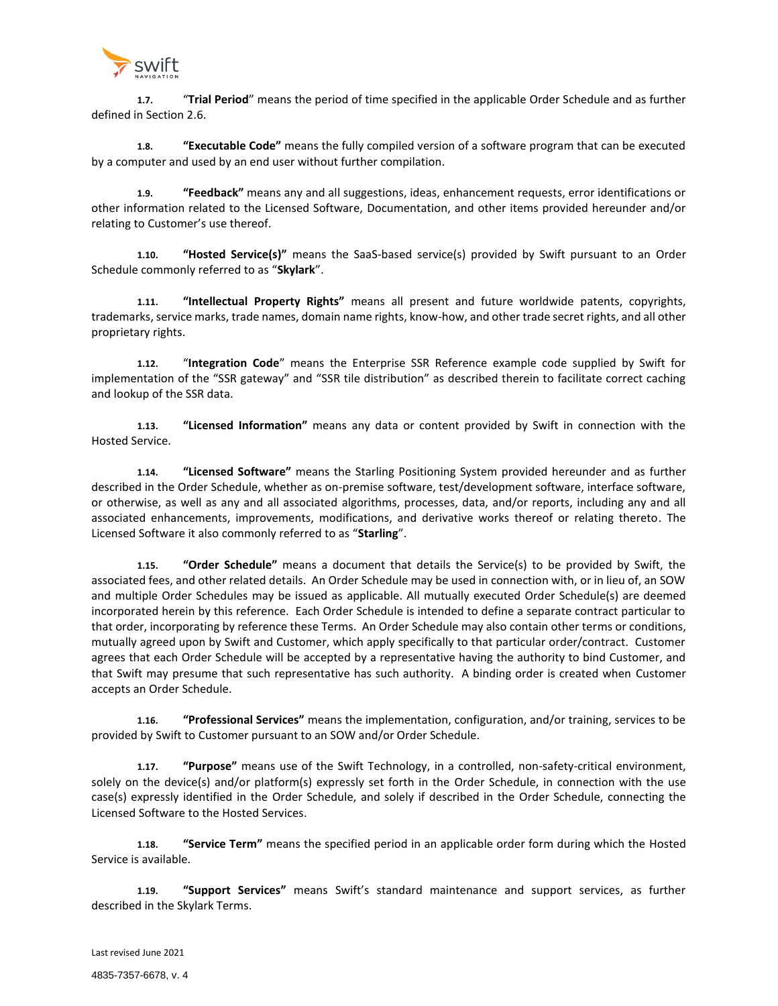

**1.7.** "**Trial Period**" means the period of time specified in the applicable Order Schedule and as further defined in Section 2.6.

**1.8. "Executable Code"** means the fully compiled version of a software program that can be executed by a computer and used by an end user without further compilation.

**1.9. "Feedback"** means any and all suggestions, ideas, enhancement requests, error identifications or other information related to the Licensed Software, Documentation, and other items provided hereunder and/or relating to Customer's use thereof.

**1.10. "Hosted Service(s)"** means the SaaS-based service(s) provided by Swift pursuant to an Order Schedule commonly referred to as "**Skylark**".

**1.11. "Intellectual Property Rights"** means all present and future worldwide patents, copyrights, trademarks, service marks, trade names, domain name rights, know-how, and other trade secret rights, and all other proprietary rights.

**1.12.** "**Integration Code**" means the Enterprise SSR Reference example code supplied by Swift for implementation of the "SSR gateway" and "SSR tile distribution" as described therein to facilitate correct caching and lookup of the SSR data.

**1.13. "Licensed Information"** means any data or content provided by Swift in connection with the Hosted Service.

**1.14. "Licensed Software"** means the Starling Positioning System provided hereunder and as further described in the Order Schedule, whether as on-premise software, test/development software, interface software, or otherwise, as well as any and all associated algorithms, processes, data, and/or reports, including any and all associated enhancements, improvements, modifications, and derivative works thereof or relating thereto. The Licensed Software it also commonly referred to as "**Starling**".

**1.15. "Order Schedule"** means a document that details the Service(s) to be provided by Swift, the associated fees, and other related details. An Order Schedule may be used in connection with, or in lieu of, an SOW and multiple Order Schedules may be issued as applicable. All mutually executed Order Schedule(s) are deemed incorporated herein by this reference. Each Order Schedule is intended to define a separate contract particular to that order, incorporating by reference these Terms. An Order Schedule may also contain other terms or conditions, mutually agreed upon by Swift and Customer, which apply specifically to that particular order/contract. Customer agrees that each Order Schedule will be accepted by a representative having the authority to bind Customer, and that Swift may presume that such representative has such authority. A binding order is created when Customer accepts an Order Schedule.

**1.16. "Professional Services"** means the implementation, configuration, and/or training, services to be provided by Swift to Customer pursuant to an SOW and/or Order Schedule.

**1.17. "Purpose"** means use of the Swift Technology, in a controlled, non-safety-critical environment, solely on the device(s) and/or platform(s) expressly set forth in the Order Schedule, in connection with the use case(s) expressly identified in the Order Schedule, and solely if described in the Order Schedule, connecting the Licensed Software to the Hosted Services.

**1.18. "Service Term"** means the specified period in an applicable order form during which the Hosted Service is available.

**1.19. "Support Services"** means Swift's standard maintenance and support services, as further described in the Skylark Terms.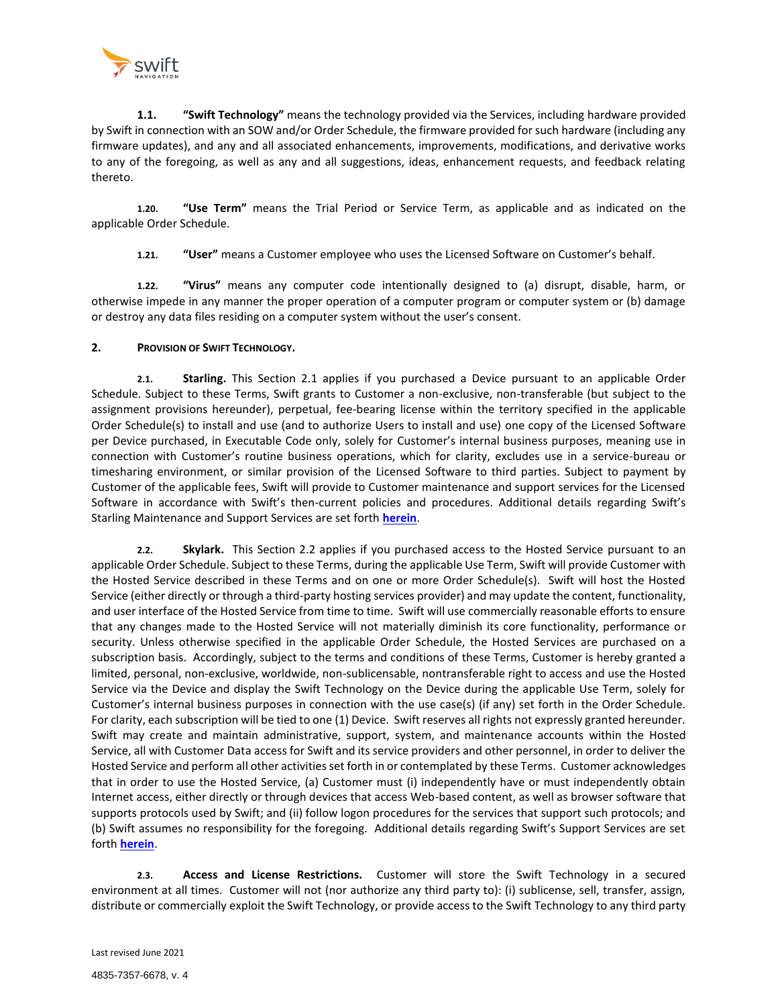

**1.1. "Swift Technology"** means the technology provided via the Services, including hardware provided by Swift in connection with an SOW and/or Order Schedule, the firmware provided for such hardware (including any firmware updates), and any and all associated enhancements, improvements, modifications, and derivative works to any of the foregoing, as well as any and all suggestions, ideas, enhancement requests, and feedback relating thereto.

**1.20. "Use Term"** means the Trial Period or Service Term, as applicable and as indicated on the applicable Order Schedule.

**1.21. "User"** means a Customer employee who uses the Licensed Software on Customer's behalf.

**1.22. "Virus"** means any computer code intentionally designed to (a) disrupt, disable, harm, or otherwise impede in any manner the proper operation of a computer program or computer system or (b) damage or destroy any data files residing on a computer system without the user's consent.

## **2. PROVISION OF SWIFT TECHNOLOGY.**

**2.1. Starling.** This Section 2.1 applies if you purchased a Device pursuant to an applicable Order Schedule. Subject to these Terms, Swift grants to Customer a non-exclusive, non-transferable (but subject to the assignment provisions hereunder), perpetual, fee-bearing license within the territory specified in the applicable Order Schedule(s) to install and use (and to authorize Users to install and use) one copy of the Licensed Software per Device purchased, in Executable Code only, solely for Customer's internal business purposes, meaning use in connection with Customer's routine business operations, which for clarity, excludes use in a service-bureau or timesharing environment, or similar provision of the Licensed Software to third parties. Subject to payment by Customer of the applicable fees, Swift will provide to Customer maintenance and support services for the Licensed Software in accordance with Swift's then-current policies and procedures. Additional details regarding Swift's Starling Maintenance and Support Services are set forth **[herein](#page-14-0)**.

**2.2. Skylark.** This Section 2.2 applies if you purchased access to the Hosted Service pursuant to an applicable Order Schedule. Subject to these Terms, during the applicable Use Term, Swift will provide Customer with the Hosted Service described in these Terms and on one or more Order Schedule(s). Swift will host the Hosted Service (either directly or through a third-party hosting services provider) and may update the content, functionality, and user interface of the Hosted Service from time to time. Swift will use commercially reasonable efforts to ensure that any changes made to the Hosted Service will not materially diminish its core functionality, performance or security. Unless otherwise specified in the applicable Order Schedule, the Hosted Services are purchased on a subscription basis. Accordingly, subject to the terms and conditions of these Terms, Customer is hereby granted a limited, personal, non-exclusive, worldwide, non-sublicensable, nontransferable right to access and use the Hosted Service via the Device and display the Swift Technology on the Device during the applicable Use Term, solely for Customer's internal business purposes in connection with the use case(s) (if any) set forth in the Order Schedule. For clarity, each subscription will be tied to one (1) Device. Swift reserves all rights not expressly granted hereunder. Swift may create and maintain administrative, support, system, and maintenance accounts within the Hosted Service, all with Customer Data access for Swift and its service providers and other personnel, in order to deliver the Hosted Service and perform all other activities set forth in or contemplated by these Terms. Customer acknowledges that in order to use the Hosted Service, (a) Customer must (i) independently have or must independently obtain Internet access, either directly or through devices that access Web-based content, as well as browser software that supports protocols used by Swift; and (ii) follow logon procedures for the services that support such protocols; and (b) Swift assumes no responsibility for the foregoing. Additional details regarding Swift's Support Services are set forth **[herein](#page-18-0)**.

**2.3. Access and License Restrictions.** Customer will store the Swift Technology in a secured environment at all times. Customer will not (nor authorize any third party to): (i) sublicense, sell, transfer, assign, distribute or commercially exploit the Swift Technology, or provide access to the Swift Technology to any third party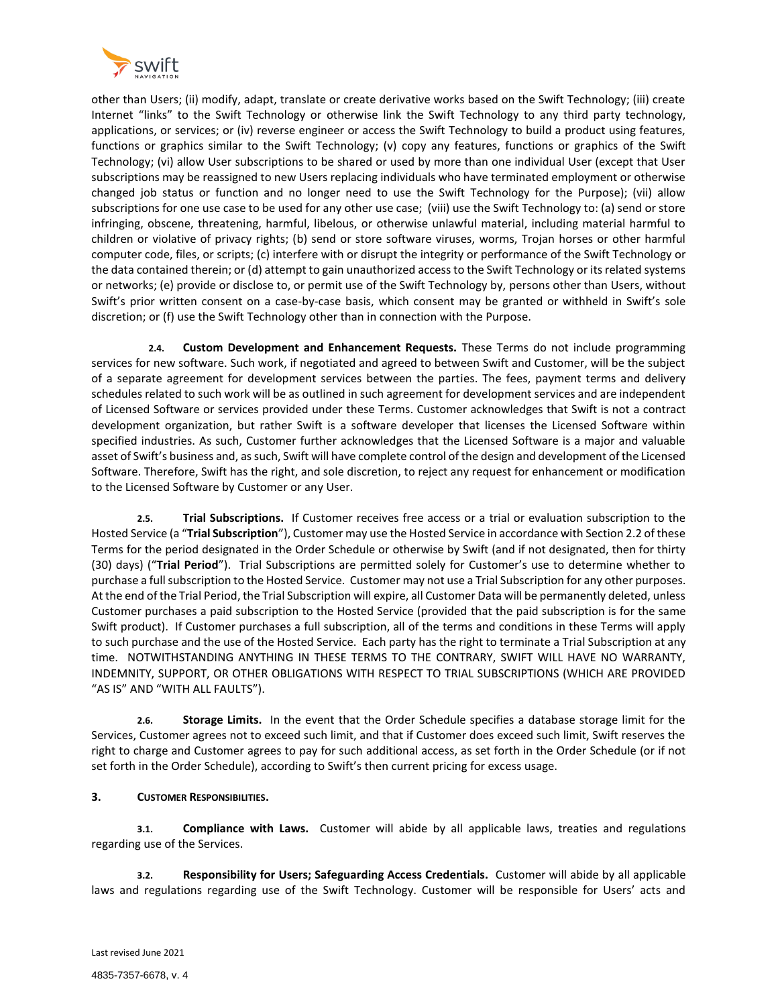

other than Users; (ii) modify, adapt, translate or create derivative works based on the Swift Technology; (iii) create Internet "links" to the Swift Technology or otherwise link the Swift Technology to any third party technology, applications, or services; or (iv) reverse engineer or access the Swift Technology to build a product using features, functions or graphics similar to the Swift Technology; (v) copy any features, functions or graphics of the Swift Technology; (vi) allow User subscriptions to be shared or used by more than one individual User (except that User subscriptions may be reassigned to new Users replacing individuals who have terminated employment or otherwise changed job status or function and no longer need to use the Swift Technology for the Purpose); (vii) allow subscriptions for one use case to be used for any other use case; (viii) use the Swift Technology to: (a) send or store infringing, obscene, threatening, harmful, libelous, or otherwise unlawful material, including material harmful to children or violative of privacy rights; (b) send or store software viruses, worms, Trojan horses or other harmful computer code, files, or scripts; (c) interfere with or disrupt the integrity or performance of the Swift Technology or the data contained therein; or (d) attempt to gain unauthorized access to the Swift Technology or its related systems or networks; (e) provide or disclose to, or permit use of the Swift Technology by, persons other than Users, without Swift's prior written consent on a case-by-case basis, which consent may be granted or withheld in Swift's sole discretion; or (f) use the Swift Technology other than in connection with the Purpose.

**2.4. Custom Development and Enhancement Requests.** These Terms do not include programming services for new software. Such work, if negotiated and agreed to between Swift and Customer, will be the subject of a separate agreement for development services between the parties. The fees, payment terms and delivery schedules related to such work will be as outlined in such agreement for development services and are independent of Licensed Software or services provided under these Terms. Customer acknowledges that Swift is not a contract development organization, but rather Swift is a software developer that licenses the Licensed Software within specified industries. As such, Customer further acknowledges that the Licensed Software is a major and valuable asset of Swift's business and, as such, Swift will have complete control of the design and development of the Licensed Software. Therefore, Swift has the right, and sole discretion, to reject any request for enhancement or modification to the Licensed Software by Customer or any User.

**2.5. Trial Subscriptions.** If Customer receives free access or a trial or evaluation subscription to the Hosted Service (a "**Trial Subscription**"), Customer may use the Hosted Service in accordance with Section 2.2 of these Terms for the period designated in the Order Schedule or otherwise by Swift (and if not designated, then for thirty (30) days) ("**Trial Period**"). Trial Subscriptions are permitted solely for Customer's use to determine whether to purchase a full subscription to the Hosted Service. Customer may not use a Trial Subscription for any other purposes. At the end of the Trial Period, the Trial Subscription will expire, all Customer Data will be permanently deleted, unless Customer purchases a paid subscription to the Hosted Service (provided that the paid subscription is for the same Swift product). If Customer purchases a full subscription, all of the terms and conditions in these Terms will apply to such purchase and the use of the Hosted Service. Each party has the right to terminate a Trial Subscription at any time. NOTWITHSTANDING ANYTHING IN THESE TERMS TO THE CONTRARY, SWIFT WILL HAVE NO WARRANTY, INDEMNITY, SUPPORT, OR OTHER OBLIGATIONS WITH RESPECT TO TRIAL SUBSCRIPTIONS (WHICH ARE PROVIDED "AS IS" AND "WITH ALL FAULTS").

**2.6. Storage Limits.** In the event that the Order Schedule specifies a database storage limit for the Services, Customer agrees not to exceed such limit, and that if Customer does exceed such limit, Swift reserves the right to charge and Customer agrees to pay for such additional access, as set forth in the Order Schedule (or if not set forth in the Order Schedule), according to Swift's then current pricing for excess usage.

# **3. CUSTOMER RESPONSIBILITIES.**

**3.1. Compliance with Laws.** Customer will abide by all applicable laws, treaties and regulations regarding use of the Services.

**3.2. Responsibility for Users; Safeguarding Access Credentials.** Customer will abide by all applicable laws and regulations regarding use of the Swift Technology. Customer will be responsible for Users' acts and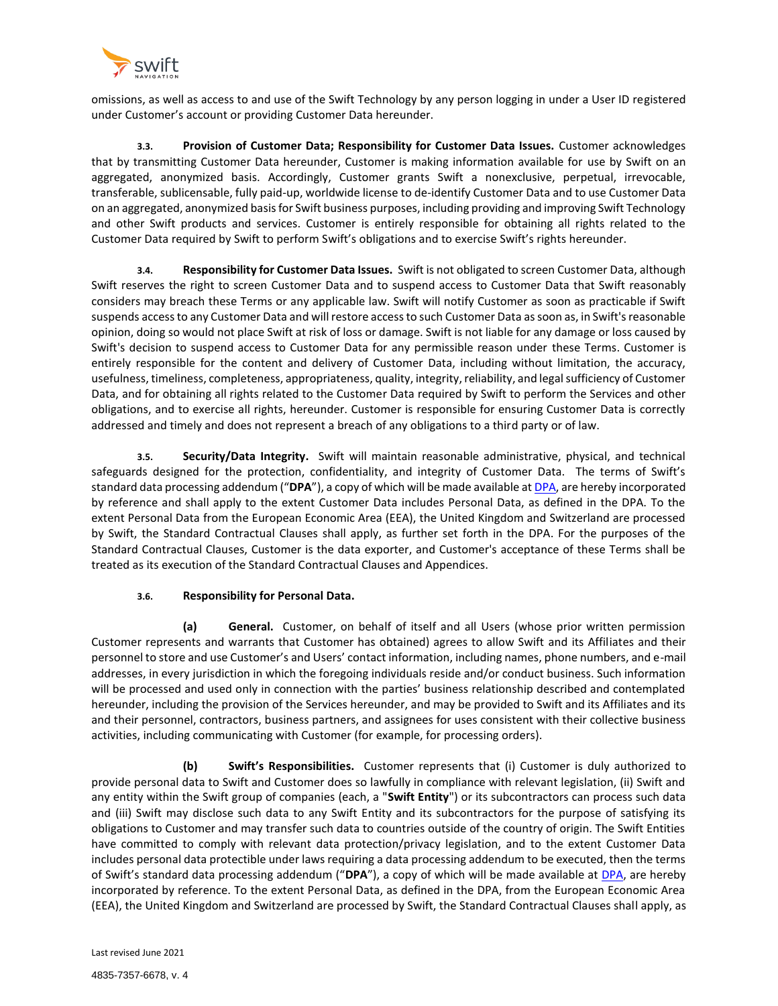

omissions, as well as access to and use of the Swift Technology by any person logging in under a User ID registered under Customer's account or providing Customer Data hereunder.

**3.3. Provision of Customer Data; Responsibility for Customer Data Issues.** Customer acknowledges that by transmitting Customer Data hereunder, Customer is making information available for use by Swift on an aggregated, anonymized basis. Accordingly, Customer grants Swift a nonexclusive, perpetual, irrevocable, transferable, sublicensable, fully paid-up, worldwide license to de-identify Customer Data and to use Customer Data on an aggregated, anonymized basis for Swift business purposes, including providing and improving Swift Technology and other Swift products and services. Customer is entirely responsible for obtaining all rights related to the Customer Data required by Swift to perform Swift's obligations and to exercise Swift's rights hereunder.

**3.4. Responsibility for Customer Data Issues.** Swift is not obligated to screen Customer Data, although Swift reserves the right to screen Customer Data and to suspend access to Customer Data that Swift reasonably considers may breach these Terms or any applicable law. Swift will notify Customer as soon as practicable if Swift suspends access to any Customer Data and will restore access to such Customer Data as soon as, in Swift's reasonable opinion, doing so would not place Swift at risk of loss or damage. Swift is not liable for any damage or loss caused by Swift's decision to suspend access to Customer Data for any permissible reason under these Terms. Customer is entirely responsible for the content and delivery of Customer Data, including without limitation, the accuracy, usefulness, timeliness, completeness, appropriateness, quality, integrity, reliability, and legal sufficiency of Customer Data, and for obtaining all rights related to the Customer Data required by Swift to perform the Services and other obligations, and to exercise all rights, hereunder. Customer is responsible for ensuring Customer Data is correctly addressed and timely and does not represent a breach of any obligations to a third party or of law.

**3.5. Security/Data Integrity.** Swift will maintain reasonable administrative, physical, and technical safeguards designed for the protection, confidentiality, and integrity of Customer Data. The terms of Swift's standard data processing addendum ("**DPA**"), a copy of which will be made available at [DPA,](https://www.shopify.ca/legal/dpa) are hereby incorporated by reference and shall apply to the extent Customer Data includes Personal Data, as defined in the DPA. To the extent Personal Data from the European Economic Area (EEA), the United Kingdom and Switzerland are processed by Swift, the Standard Contractual Clauses shall apply, as further set forth in the DPA. For the purposes of the Standard Contractual Clauses, Customer is the data exporter, and Customer's acceptance of these Terms shall be treated as its execution of the Standard Contractual Clauses and Appendices.

# **3.6. Responsibility for Personal Data.**

**(a) General.** Customer, on behalf of itself and all Users (whose prior written permission Customer represents and warrants that Customer has obtained) agrees to allow Swift and its Affiliates and their personnel to store and use Customer's and Users' contact information, including names, phone numbers, and e-mail addresses, in every jurisdiction in which the foregoing individuals reside and/or conduct business. Such information will be processed and used only in connection with the parties' business relationship described and contemplated hereunder, including the provision of the Services hereunder, and may be provided to Swift and its Affiliates and its and their personnel, contractors, business partners, and assignees for uses consistent with their collective business activities, including communicating with Customer (for example, for processing orders).

**(b) Swift's Responsibilities.** Customer represents that (i) Customer is duly authorized to provide personal data to Swift and Customer does so lawfully in compliance with relevant legislation, (ii) Swift and any entity within the Swift group of companies (each, a "**Swift Entity**") or its subcontractors can process such data and (iii) Swift may disclose such data to any Swift Entity and its subcontractors for the purpose of satisfying its obligations to Customer and may transfer such data to countries outside of the country of origin. The Swift Entities have committed to comply with relevant data protection/privacy legislation, and to the extent Customer Data includes personal data protectible under laws requiring a data processing addendum to be executed, then the terms of Swift's standard data processing addendum ("**DPA**"), a copy of which will be made available at [DPA,](https://www.shopify.ca/legal/dpa) are hereby incorporated by reference. To the extent Personal Data, as defined in the DPA, from the European Economic Area (EEA), the United Kingdom and Switzerland are processed by Swift, the Standard Contractual Clauses shall apply, as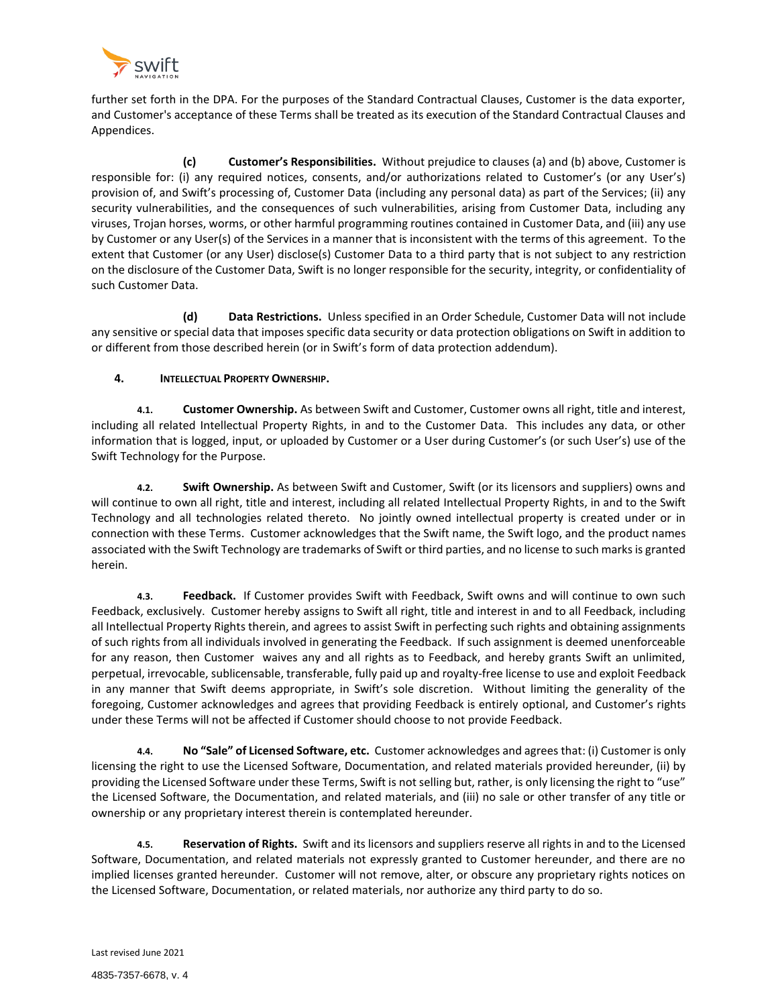

further set forth in the DPA. For the purposes of the Standard Contractual Clauses, Customer is the data exporter, and Customer's acceptance of these Terms shall be treated as its execution of the Standard Contractual Clauses and Appendices.

**(c) Customer's Responsibilities.** Without prejudice to clauses (a) and (b) above, Customer is responsible for: (i) any required notices, consents, and/or authorizations related to Customer's (or any User's) provision of, and Swift's processing of, Customer Data (including any personal data) as part of the Services; (ii) any security vulnerabilities, and the consequences of such vulnerabilities, arising from Customer Data, including any viruses, Trojan horses, worms, or other harmful programming routines contained in Customer Data, and (iii) any use by Customer or any User(s) of the Services in a manner that is inconsistent with the terms of this agreement. To the extent that Customer (or any User) disclose(s) Customer Data to a third party that is not subject to any restriction on the disclosure of the Customer Data, Swift is no longer responsible for the security, integrity, or confidentiality of such Customer Data.

**(d) Data Restrictions.** Unless specified in an Order Schedule, Customer Data will not include any sensitive or special data that imposes specific data security or data protection obligations on Swift in addition to or different from those described herein (or in Swift's form of data protection addendum).

# **4. INTELLECTUAL PROPERTY OWNERSHIP.**

**4.1. Customer Ownership.** As between Swift and Customer, Customer owns all right, title and interest, including all related Intellectual Property Rights, in and to the Customer Data. This includes any data, or other information that is logged, input, or uploaded by Customer or a User during Customer's (or such User's) use of the Swift Technology for the Purpose.

**4.2. Swift Ownership.** As between Swift and Customer, Swift (or its licensors and suppliers) owns and will continue to own all right, title and interest, including all related Intellectual Property Rights, in and to the Swift Technology and all technologies related thereto. No jointly owned intellectual property is created under or in connection with these Terms. Customer acknowledges that the Swift name, the Swift logo, and the product names associated with the Swift Technology are trademarks of Swift or third parties, and no license to such marks is granted herein.

**4.3. Feedback.** If Customer provides Swift with Feedback, Swift owns and will continue to own such Feedback, exclusively. Customer hereby assigns to Swift all right, title and interest in and to all Feedback, including all Intellectual Property Rights therein, and agrees to assist Swift in perfecting such rights and obtaining assignments of such rights from all individuals involved in generating the Feedback. If such assignment is deemed unenforceable for any reason, then Customer waives any and all rights as to Feedback, and hereby grants Swift an unlimited, perpetual, irrevocable, sublicensable, transferable, fully paid up and royalty-free license to use and exploit Feedback in any manner that Swift deems appropriate, in Swift's sole discretion. Without limiting the generality of the foregoing, Customer acknowledges and agrees that providing Feedback is entirely optional, and Customer's rights under these Terms will not be affected if Customer should choose to not provide Feedback.

**4.4. No "Sale" of Licensed Software, etc.** Customer acknowledges and agrees that: (i) Customer is only licensing the right to use the Licensed Software, Documentation, and related materials provided hereunder, (ii) by providing the Licensed Software under these Terms, Swift is not selling but, rather, is only licensing the right to "use" the Licensed Software, the Documentation, and related materials, and (iii) no sale or other transfer of any title or ownership or any proprietary interest therein is contemplated hereunder.

**4.5. Reservation of Rights.** Swift and its licensors and suppliers reserve all rights in and to the Licensed Software, Documentation, and related materials not expressly granted to Customer hereunder, and there are no implied licenses granted hereunder. Customer will not remove, alter, or obscure any proprietary rights notices on the Licensed Software, Documentation, or related materials, nor authorize any third party to do so.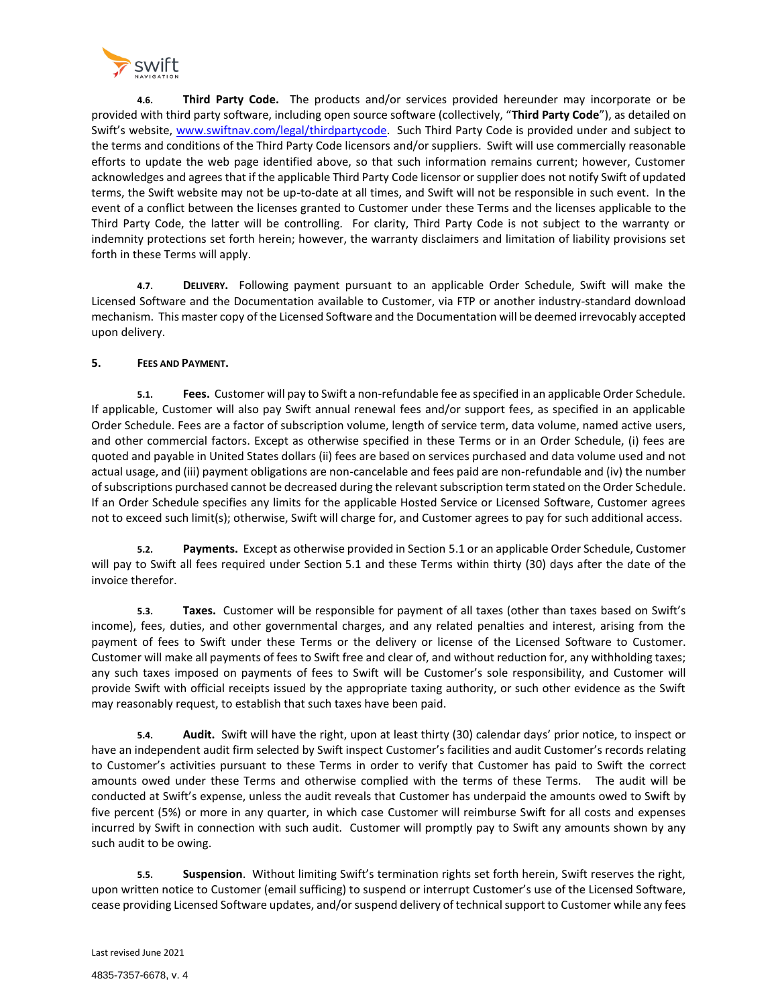

**4.6. Third Party Code.** The products and/or services provided hereunder may incorporate or be provided with third party software, including open source software (collectively, "**Third Party Code**"), as detailed on Swift's website, [www.swiftnav.com/legal/thirdpartycode.](http://www.swiftnav.com/legal/thirdpartycode) Such Third Party Code is provided under and subject to the terms and conditions of the Third Party Code licensors and/or suppliers. Swift will use commercially reasonable efforts to update the web page identified above, so that such information remains current; however, Customer acknowledges and agrees that if the applicable Third Party Code licensor or supplier does not notify Swift of updated terms, the Swift website may not be up-to-date at all times, and Swift will not be responsible in such event. In the event of a conflict between the licenses granted to Customer under these Terms and the licenses applicable to the Third Party Code, the latter will be controlling. For clarity, Third Party Code is not subject to the warranty or indemnity protections set forth herein; however, the warranty disclaimers and limitation of liability provisions set forth in these Terms will apply.

**4.7. DELIVERY.** Following payment pursuant to an applicable Order Schedule, Swift will make the Licensed Software and the Documentation available to Customer, via FTP or another industry-standard download mechanism. This master copy of the Licensed Software and the Documentation will be deemed irrevocably accepted upon delivery.

# **5. FEES AND PAYMENT.**

**5.1. Fees.** Customer will pay to Swift a non-refundable fee as specified in an applicable Order Schedule. If applicable, Customer will also pay Swift annual renewal fees and/or support fees, as specified in an applicable Order Schedule. Fees are a factor of subscription volume, length of service term, data volume, named active users, and other commercial factors. Except as otherwise specified in these Terms or in an Order Schedule, (i) fees are quoted and payable in United States dollars (ii) fees are based on services purchased and data volume used and not actual usage, and (iii) payment obligations are non-cancelable and fees paid are non-refundable and (iv) the number of subscriptions purchased cannot be decreased during the relevant subscription term stated on the Order Schedule. If an Order Schedule specifies any limits for the applicable Hosted Service or Licensed Software, Customer agrees not to exceed such limit(s); otherwise, Swift will charge for, and Customer agrees to pay for such additional access.

**5.2. Payments.** Except as otherwise provided in Section 5.1 or an applicable Order Schedule, Customer will pay to Swift all fees required under Section 5.1 and these Terms within thirty (30) days after the date of the invoice therefor.

**5.3. Taxes.** Customer will be responsible for payment of all taxes (other than taxes based on Swift's income), fees, duties, and other governmental charges, and any related penalties and interest, arising from the payment of fees to Swift under these Terms or the delivery or license of the Licensed Software to Customer. Customer will make all payments of fees to Swift free and clear of, and without reduction for, any withholding taxes; any such taxes imposed on payments of fees to Swift will be Customer's sole responsibility, and Customer will provide Swift with official receipts issued by the appropriate taxing authority, or such other evidence as the Swift may reasonably request, to establish that such taxes have been paid.

**5.4. Audit.** Swift will have the right, upon at least thirty (30) calendar days' prior notice, to inspect or have an independent audit firm selected by Swift inspect Customer's facilities and audit Customer's records relating to Customer's activities pursuant to these Terms in order to verify that Customer has paid to Swift the correct amounts owed under these Terms and otherwise complied with the terms of these Terms. The audit will be conducted at Swift's expense, unless the audit reveals that Customer has underpaid the amounts owed to Swift by five percent (5%) or more in any quarter, in which case Customer will reimburse Swift for all costs and expenses incurred by Swift in connection with such audit. Customer will promptly pay to Swift any amounts shown by any such audit to be owing.

**5.5. Suspension**. Without limiting Swift's termination rights set forth herein, Swift reserves the right, upon written notice to Customer (email sufficing) to suspend or interrupt Customer's use of the Licensed Software, cease providing Licensed Software updates, and/or suspend delivery of technical support to Customer while any fees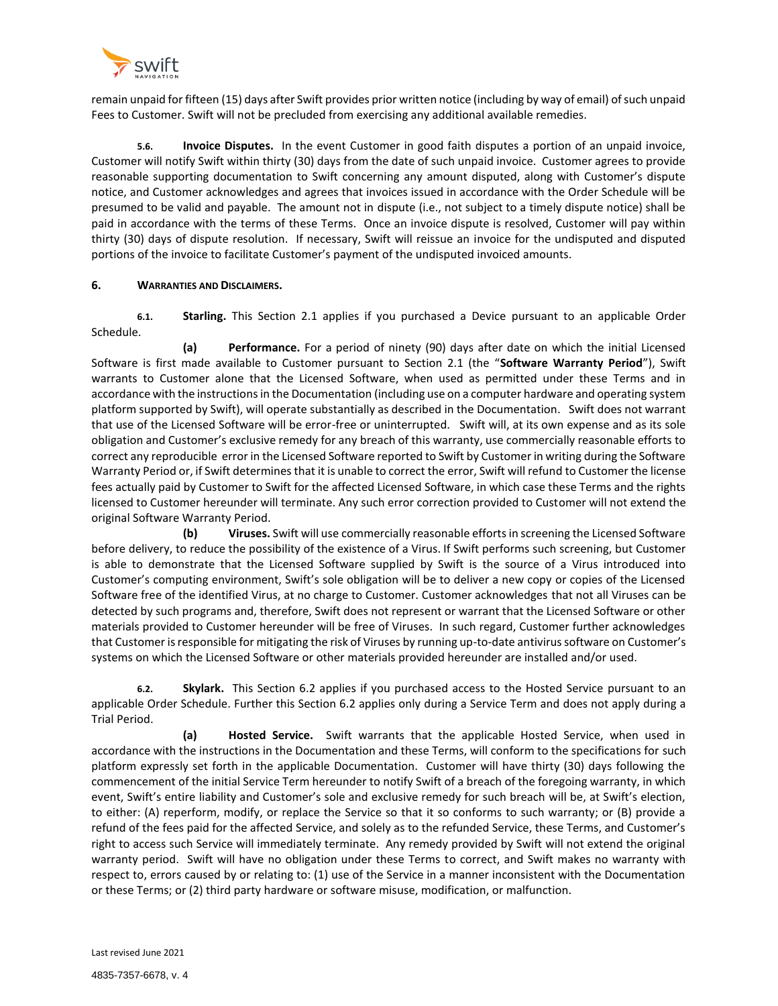

remain unpaid for fifteen (15) days after Swift provides prior written notice (including by way of email) of such unpaid Fees to Customer. Swift will not be precluded from exercising any additional available remedies.

**5.6. Invoice Disputes.** In the event Customer in good faith disputes a portion of an unpaid invoice, Customer will notify Swift within thirty (30) days from the date of such unpaid invoice. Customer agrees to provide reasonable supporting documentation to Swift concerning any amount disputed, along with Customer's dispute notice, and Customer acknowledges and agrees that invoices issued in accordance with the Order Schedule will be presumed to be valid and payable. The amount not in dispute (i.e., not subject to a timely dispute notice) shall be paid in accordance with the terms of these Terms. Once an invoice dispute is resolved, Customer will pay within thirty (30) days of dispute resolution. If necessary, Swift will reissue an invoice for the undisputed and disputed portions of the invoice to facilitate Customer's payment of the undisputed invoiced amounts.

## **6. WARRANTIES AND DISCLAIMERS.**

**6.1. Starling.** This Section 2.1 applies if you purchased a Device pursuant to an applicable Order Schedule.

**(a) Performance.** For a period of ninety (90) days after date on which the initial Licensed Software is first made available to Customer pursuant to Section 2.1 (the "**Software Warranty Period**"), Swift warrants to Customer alone that the Licensed Software, when used as permitted under these Terms and in accordance with the instructions in the Documentation (including use on a computer hardware and operating system platform supported by Swift), will operate substantially as described in the Documentation. Swift does not warrant that use of the Licensed Software will be error-free or uninterrupted. Swift will, at its own expense and as its sole obligation and Customer's exclusive remedy for any breach of this warranty, use commercially reasonable efforts to correct any reproducible error in the Licensed Software reported to Swift by Customer in writing during the Software Warranty Period or, if Swift determines that it is unable to correct the error, Swift will refund to Customer the license fees actually paid by Customer to Swift for the affected Licensed Software, in which case these Terms and the rights licensed to Customer hereunder will terminate. Any such error correction provided to Customer will not extend the original Software Warranty Period.

**(b) Viruses.** Swift will use commercially reasonable efforts in screening the Licensed Software before delivery, to reduce the possibility of the existence of a Virus. If Swift performs such screening, but Customer is able to demonstrate that the Licensed Software supplied by Swift is the source of a Virus introduced into Customer's computing environment, Swift's sole obligation will be to deliver a new copy or copies of the Licensed Software free of the identified Virus, at no charge to Customer. Customer acknowledges that not all Viruses can be detected by such programs and, therefore, Swift does not represent or warrant that the Licensed Software or other materials provided to Customer hereunder will be free of Viruses. In such regard, Customer further acknowledges that Customer is responsible for mitigating the risk of Viruses by running up-to-date antivirus software on Customer's systems on which the Licensed Software or other materials provided hereunder are installed and/or used.

**6.2. Skylark.** This Section 6.2 applies if you purchased access to the Hosted Service pursuant to an applicable Order Schedule. Further this Section 6.2 applies only during a Service Term and does not apply during a Trial Period.

**(a) Hosted Service.** Swift warrants that the applicable Hosted Service, when used in accordance with the instructions in the Documentation and these Terms, will conform to the specifications for such platform expressly set forth in the applicable Documentation. Customer will have thirty (30) days following the commencement of the initial Service Term hereunder to notify Swift of a breach of the foregoing warranty, in which event, Swift's entire liability and Customer's sole and exclusive remedy for such breach will be, at Swift's election, to either: (A) reperform, modify, or replace the Service so that it so conforms to such warranty; or (B) provide a refund of the fees paid for the affected Service, and solely as to the refunded Service, these Terms, and Customer's right to access such Service will immediately terminate. Any remedy provided by Swift will not extend the original warranty period. Swift will have no obligation under these Terms to correct, and Swift makes no warranty with respect to, errors caused by or relating to: (1) use of the Service in a manner inconsistent with the Documentation or these Terms; or (2) third party hardware or software misuse, modification, or malfunction.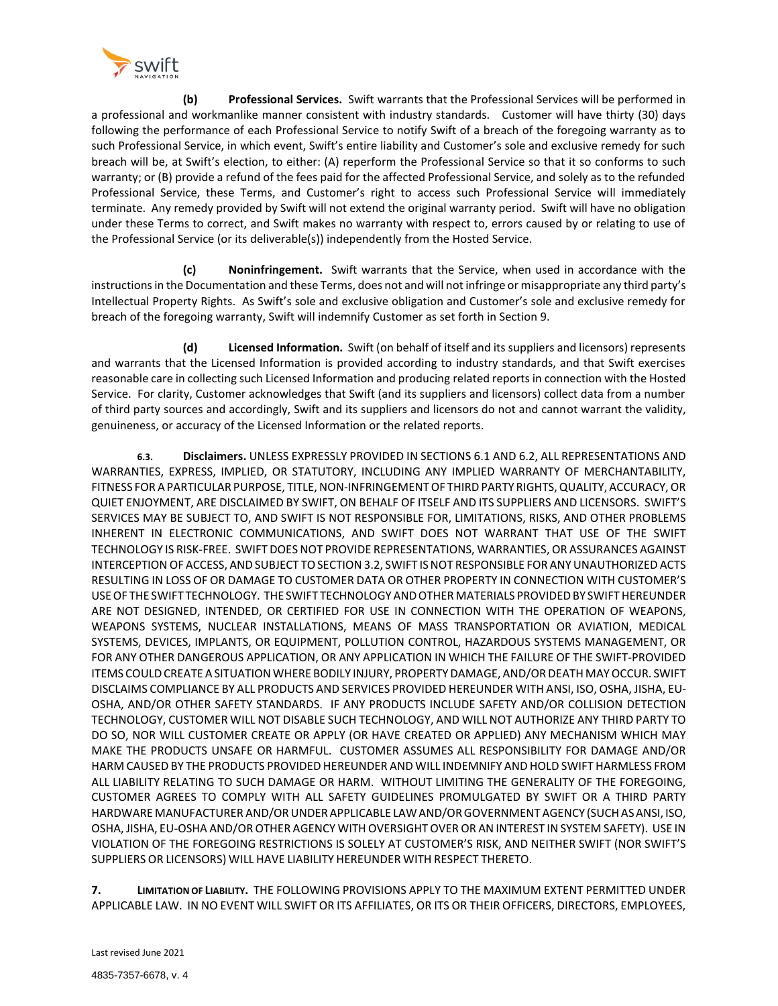

**(b) Professional Services.** Swift warrants that the Professional Services will be performed in a professional and workmanlike manner consistent with industry standards. Customer will have thirty (30) days following the performance of each Professional Service to notify Swift of a breach of the foregoing warranty as to such Professional Service, in which event, Swift's entire liability and Customer's sole and exclusive remedy for such breach will be, at Swift's election, to either: (A) reperform the Professional Service so that it so conforms to such warranty; or (B) provide a refund of the fees paid for the affected Professional Service, and solely as to the refunded Professional Service, these Terms, and Customer's right to access such Professional Service will immediately terminate. Any remedy provided by Swift will not extend the original warranty period. Swift will have no obligation under these Terms to correct, and Swift makes no warranty with respect to, errors caused by or relating to use of the Professional Service (or its deliverable(s)) independently from the Hosted Service.

**(c) Noninfringement.** Swift warrants that the Service, when used in accordance with the instructions in the Documentation and these Terms, does not and will not infringe or misappropriate any third party's Intellectual Property Rights. As Swift's sole and exclusive obligation and Customer's sole and exclusive remedy for breach of the foregoing warranty, Swift will indemnify Customer as set forth in Section 9.

**(d) Licensed Information.** Swift (on behalf of itself and its suppliers and licensors) represents and warrants that the Licensed Information is provided according to industry standards, and that Swift exercises reasonable care in collecting such Licensed Information and producing related reports in connection with the Hosted Service. For clarity, Customer acknowledges that Swift (and its suppliers and licensors) collect data from a number of third party sources and accordingly, Swift and its suppliers and licensors do not and cannot warrant the validity, genuineness, or accuracy of the Licensed Information or the related reports.

**6.3. Disclaimers.** UNLESS EXPRESSLY PROVIDED IN SECTIONS 6.1 AND 6.2, ALL REPRESENTATIONS AND WARRANTIES, EXPRESS, IMPLIED, OR STATUTORY, INCLUDING ANY IMPLIED WARRANTY OF MERCHANTABILITY, FITNESS FOR A PARTICULAR PURPOSE, TITLE, NON-INFRINGEMENT OF THIRD PARTY RIGHTS, QUALITY, ACCURACY, OR QUIET ENJOYMENT, ARE DISCLAIMED BY SWIFT, ON BEHALF OF ITSELF AND ITS SUPPLIERS AND LICENSORS. SWIFT'S SERVICES MAY BE SUBJECT TO, AND SWIFT IS NOT RESPONSIBLE FOR, LIMITATIONS, RISKS, AND OTHER PROBLEMS INHERENT IN ELECTRONIC COMMUNICATIONS, AND SWIFT DOES NOT WARRANT THAT USE OF THE SWIFT TECHNOLOGY IS RISK-FREE. SWIFT DOES NOT PROVIDE REPRESENTATIONS, WARRANTIES, OR ASSURANCES AGAINST INTERCEPTIONOF ACCESS, ANDSUBJECT TOSECTION 3.2, SWIFT ISNOT RESPONSIBLE FORANYUNAUTHORIZED ACTS RESULTING IN LOSS OF OR DAMAGE TO CUSTOMER DATA OR OTHER PROPERTY IN CONNECTION WITH CUSTOMER'S USEOF THE SWIFT TECHNOLOGY. THE SWIFT TECHNOLOGY ANDOTHER MATERIALS PROVIDEDBY SWIFTHEREUNDER ARE NOT DESIGNED, INTENDED, OR CERTIFIED FOR USE IN CONNECTION WITH THE OPERATION OF WEAPONS, WEAPONS SYSTEMS, NUCLEAR INSTALLATIONS, MEANS OF MASS TRANSPORTATION OR AVIATION, MEDICAL SYSTEMS, DEVICES, IMPLANTS, OR EQUIPMENT, POLLUTION CONTROL, HAZARDOUS SYSTEMS MANAGEMENT, OR FOR ANY OTHER DANGEROUS APPLICATION, OR ANY APPLICATION IN WHICH THE FAILURE OF THE SWIFT-PROVIDED ITEMS COULD CREATE A SITUATION WHERE BODILY INJURY, PROPERTY DAMAGE, AND/OR DEATH MAY OCCUR. SWIFT DISCLAIMS COMPLIANCE BY ALL PRODUCTS AND SERVICES PROVIDED HEREUNDER WITH ANSI, ISO, OSHA, JISHA, EU-OSHA, AND/OR OTHER SAFETY STANDARDS. IF ANY PRODUCTS INCLUDE SAFETY AND/OR COLLISION DETECTION TECHNOLOGY, CUSTOMER WILL NOT DISABLE SUCH TECHNOLOGY, AND WILL NOT AUTHORIZE ANY THIRD PARTY TO DO SO, NOR WILL CUSTOMER CREATE OR APPLY (OR HAVE CREATED OR APPLIED) ANY MECHANISM WHICH MAY MAKE THE PRODUCTS UNSAFE OR HARMFUL. CUSTOMER ASSUMES ALL RESPONSIBILITY FOR DAMAGE AND/OR HARM CAUSED BY THE PRODUCTS PROVIDED HEREUNDER AND WILL INDEMNIFY AND HOLD SWIFT HARMLESS FROM ALL LIABILITY RELATING TO SUCH DAMAGE OR HARM. WITHOUT LIMITING THE GENERALITY OF THE FOREGOING, CUSTOMER AGREES TO COMPLY WITH ALL SAFETY GUIDELINES PROMULGATED BY SWIFT OR A THIRD PARTY HARDWARE MANUFACTURER AND/ORUNDERAPPLICABLE LAWAND/ORGOVERNMENTAGENCY (SUCHASANSI, ISO, OSHA, JISHA, EU-OSHA AND/OROTHER AGENCY WITH OVERSIGHT OVER OR ANINTEREST INSYSTEM SAFETY). USE IN VIOLATION OF THE FOREGOING RESTRICTIONS IS SOLELY AT CUSTOMER'S RISK, AND NEITHER SWIFT (NOR SWIFT'S SUPPLIERS OR LICENSORS) WILL HAVE LIABILITY HEREUNDER WITH RESPECT THERETO.

**7. LIMITATION OF LIABILITY.** THE FOLLOWING PROVISIONS APPLY TO THE MAXIMUM EXTENT PERMITTED UNDER APPLICABLE LAW. IN NO EVENT WILL SWIFT OR ITS AFFILIATES, OR ITS OR THEIR OFFICERS, DIRECTORS, EMPLOYEES,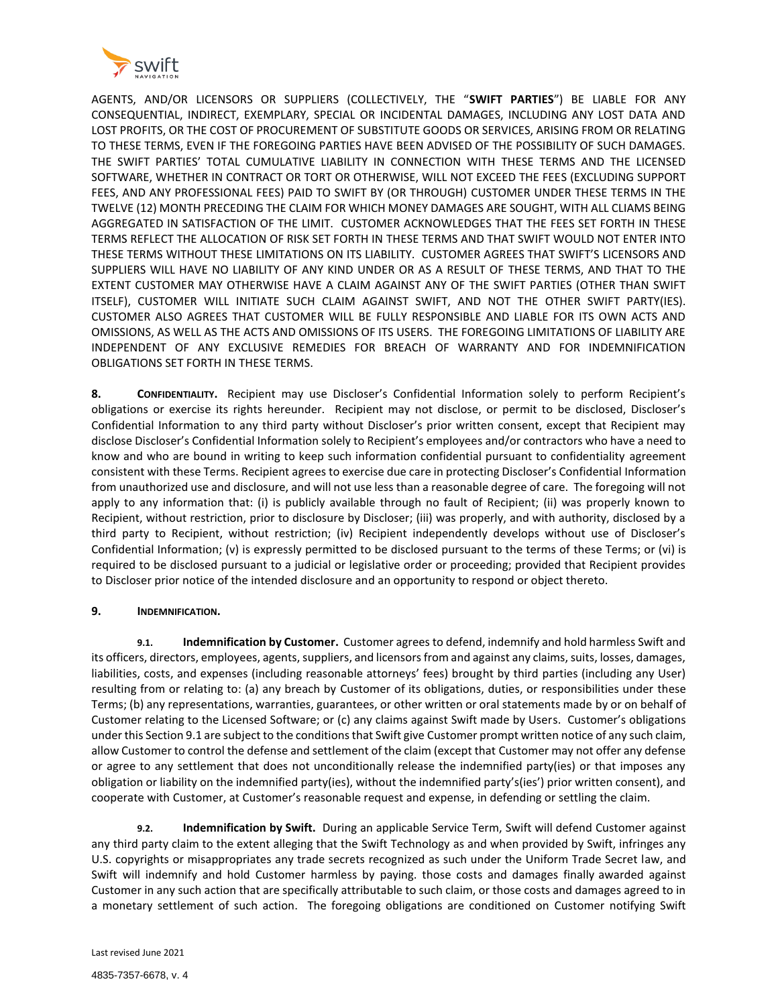

AGENTS, AND/OR LICENSORS OR SUPPLIERS (COLLECTIVELY, THE "**SWIFT PARTIES**") BE LIABLE FOR ANY CONSEQUENTIAL, INDIRECT, EXEMPLARY, SPECIAL OR INCIDENTAL DAMAGES, INCLUDING ANY LOST DATA AND LOST PROFITS, OR THE COST OF PROCUREMENT OF SUBSTITUTE GOODS OR SERVICES, ARISING FROM OR RELATING TO THESE TERMS, EVEN IF THE FOREGOING PARTIES HAVE BEEN ADVISED OF THE POSSIBILITY OF SUCH DAMAGES. THE SWIFT PARTIES' TOTAL CUMULATIVE LIABILITY IN CONNECTION WITH THESE TERMS AND THE LICENSED SOFTWARE, WHETHER IN CONTRACT OR TORT OR OTHERWISE, WILL NOT EXCEED THE FEES (EXCLUDING SUPPORT FEES, AND ANY PROFESSIONAL FEES) PAID TO SWIFT BY (OR THROUGH) CUSTOMER UNDER THESE TERMS IN THE TWELVE (12) MONTH PRECEDING THE CLAIM FOR WHICH MONEY DAMAGES ARE SOUGHT, WITH ALL CLIAMS BEING AGGREGATED IN SATISFACTION OF THE LIMIT. CUSTOMER ACKNOWLEDGES THAT THE FEES SET FORTH IN THESE TERMS REFLECT THE ALLOCATION OF RISK SET FORTH IN THESE TERMS AND THAT SWIFT WOULD NOT ENTER INTO THESE TERMS WITHOUT THESE LIMITATIONS ON ITS LIABILITY. CUSTOMER AGREES THAT SWIFT'S LICENSORS AND SUPPLIERS WILL HAVE NO LIABILITY OF ANY KIND UNDER OR AS A RESULT OF THESE TERMS, AND THAT TO THE EXTENT CUSTOMER MAY OTHERWISE HAVE A CLAIM AGAINST ANY OF THE SWIFT PARTIES (OTHER THAN SWIFT ITSELF), CUSTOMER WILL INITIATE SUCH CLAIM AGAINST SWIFT, AND NOT THE OTHER SWIFT PARTY(IES). CUSTOMER ALSO AGREES THAT CUSTOMER WILL BE FULLY RESPONSIBLE AND LIABLE FOR ITS OWN ACTS AND OMISSIONS, AS WELL AS THE ACTS AND OMISSIONS OF ITS USERS. THE FOREGOING LIMITATIONS OF LIABILITY ARE INDEPENDENT OF ANY EXCLUSIVE REMEDIES FOR BREACH OF WARRANTY AND FOR INDEMNIFICATION OBLIGATIONS SET FORTH IN THESE TERMS.

**8. CONFIDENTIALITY.** Recipient may use Discloser's Confidential Information solely to perform Recipient's obligations or exercise its rights hereunder. Recipient may not disclose, or permit to be disclosed, Discloser's Confidential Information to any third party without Discloser's prior written consent, except that Recipient may disclose Discloser's Confidential Information solely to Recipient's employees and/or contractors who have a need to know and who are bound in writing to keep such information confidential pursuant to confidentiality agreement consistent with these Terms. Recipient agrees to exercise due care in protecting Discloser's Confidential Information from unauthorized use and disclosure, and will not use less than a reasonable degree of care. The foregoing will not apply to any information that: (i) is publicly available through no fault of Recipient; (ii) was properly known to Recipient, without restriction, prior to disclosure by Discloser; (iii) was properly, and with authority, disclosed by a third party to Recipient, without restriction; (iv) Recipient independently develops without use of Discloser's Confidential Information; (v) is expressly permitted to be disclosed pursuant to the terms of these Terms; or (vi) is required to be disclosed pursuant to a judicial or legislative order or proceeding; provided that Recipient provides to Discloser prior notice of the intended disclosure and an opportunity to respond or object thereto.

# **9. INDEMNIFICATION.**

**9.1. Indemnification by Customer.** Customer agrees to defend, indemnify and hold harmless Swift and its officers, directors, employees, agents, suppliers, and licensors from and against any claims, suits, losses, damages, liabilities, costs, and expenses (including reasonable attorneys' fees) brought by third parties (including any User) resulting from or relating to: (a) any breach by Customer of its obligations, duties, or responsibilities under these Terms; (b) any representations, warranties, guarantees, or other written or oral statements made by or on behalf of Customer relating to the Licensed Software; or (c) any claims against Swift made by Users. Customer's obligations under this Section 9.1 are subject to the conditions that Swift give Customer prompt written notice of any such claim, allow Customer to control the defense and settlement of the claim (except that Customer may not offer any defense or agree to any settlement that does not unconditionally release the indemnified party(ies) or that imposes any obligation or liability on the indemnified party(ies), without the indemnified party's(ies') prior written consent), and cooperate with Customer, at Customer's reasonable request and expense, in defending or settling the claim.

**9.2. Indemnification by Swift.** During an applicable Service Term, Swift will defend Customer against any third party claim to the extent alleging that the Swift Technology as and when provided by Swift, infringes any U.S. copyrights or misappropriates any trade secrets recognized as such under the Uniform Trade Secret law, and Swift will indemnify and hold Customer harmless by paying. those costs and damages finally awarded against Customer in any such action that are specifically attributable to such claim, or those costs and damages agreed to in a monetary settlement of such action. The foregoing obligations are conditioned on Customer notifying Swift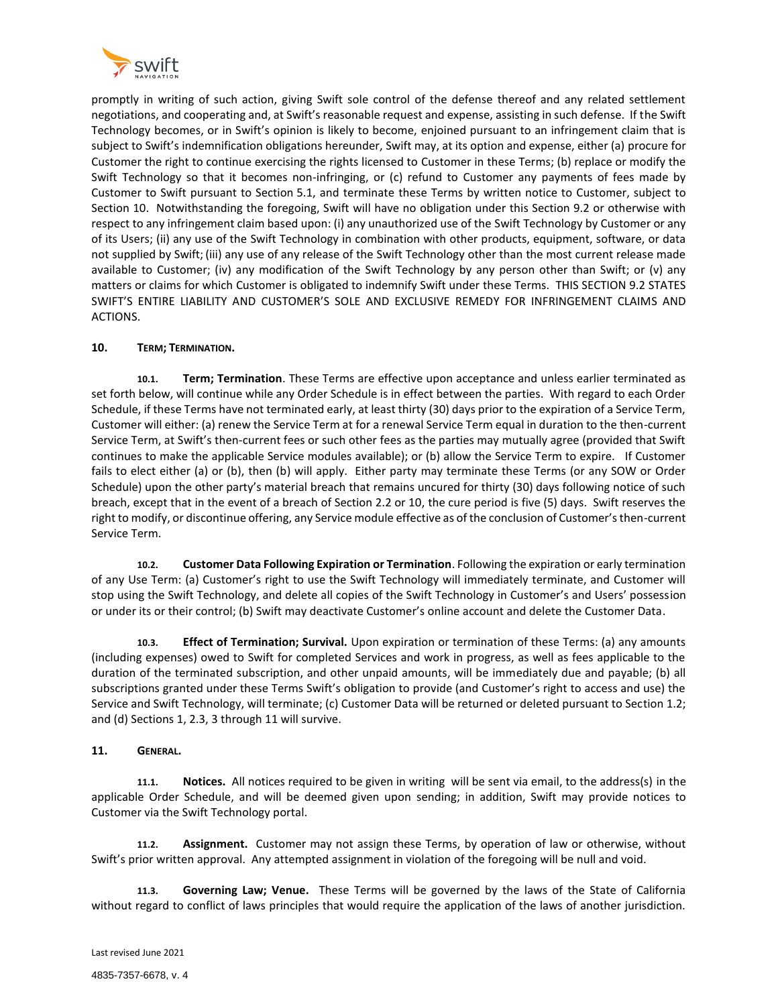

promptly in writing of such action, giving Swift sole control of the defense thereof and any related settlement negotiations, and cooperating and, at Swift's reasonable request and expense, assisting in such defense. If the Swift Technology becomes, or in Swift's opinion is likely to become, enjoined pursuant to an infringement claim that is subject to Swift's indemnification obligations hereunder, Swift may, at its option and expense, either (a) procure for Customer the right to continue exercising the rights licensed to Customer in these Terms; (b) replace or modify the Swift Technology so that it becomes non-infringing, or (c) refund to Customer any payments of fees made by Customer to Swift pursuant to Section 5.1, and terminate these Terms by written notice to Customer, subject to Section 10. Notwithstanding the foregoing, Swift will have no obligation under this Section 9.2 or otherwise with respect to any infringement claim based upon: (i) any unauthorized use of the Swift Technology by Customer or any of its Users; (ii) any use of the Swift Technology in combination with other products, equipment, software, or data not supplied by Swift; (iii) any use of any release of the Swift Technology other than the most current release made available to Customer; (iv) any modification of the Swift Technology by any person other than Swift; or (v) any matters or claims for which Customer is obligated to indemnify Swift under these Terms. THIS SECTION 9.2 STATES SWIFT'S ENTIRE LIABILITY AND CUSTOMER'S SOLE AND EXCLUSIVE REMEDY FOR INFRINGEMENT CLAIMS AND ACTIONS.

# **10. TERM; TERMINATION.**

**10.1. Term; Termination**. These Terms are effective upon acceptance and unless earlier terminated as set forth below, will continue while any Order Schedule is in effect between the parties. With regard to each Order Schedule, if these Terms have not terminated early, at least thirty (30) days prior to the expiration of a Service Term, Customer will either: (a) renew the Service Term at for a renewal Service Term equal in duration to the then-current Service Term, at Swift's then-current fees or such other fees as the parties may mutually agree (provided that Swift continues to make the applicable Service modules available); or (b) allow the Service Term to expire. If Customer fails to elect either (a) or (b), then (b) will apply. Either party may terminate these Terms (or any SOW or Order Schedule) upon the other party's material breach that remains uncured for thirty (30) days following notice of such breach, except that in the event of a breach of Section 2.2 or 10, the cure period is five (5) days. Swift reserves the right to modify, or discontinue offering, any Service module effective as of the conclusion of Customer's then-current Service Term.

**10.2. Customer Data Following Expiration or Termination**. Following the expiration or early termination of any Use Term: (a) Customer's right to use the Swift Technology will immediately terminate, and Customer will stop using the Swift Technology, and delete all copies of the Swift Technology in Customer's and Users' possession or under its or their control; (b) Swift may deactivate Customer's online account and delete the Customer Data.

**10.3. Effect of Termination; Survival.** Upon expiration or termination of these Terms: (a) any amounts (including expenses) owed to Swift for completed Services and work in progress, as well as fees applicable to the duration of the terminated subscription, and other unpaid amounts, will be immediately due and payable; (b) all subscriptions granted under these Terms Swift's obligation to provide (and Customer's right to access and use) the Service and Swift Technology, will terminate; (c) Customer Data will be returned or deleted pursuant to Section 1.2; and (d) Sections 1, 2.3, 3 through 11 will survive.

#### **11. GENERAL.**

**11.1. Notices.** All notices required to be given in writing will be sent via email, to the address(s) in the applicable Order Schedule, and will be deemed given upon sending; in addition, Swift may provide notices to Customer via the Swift Technology portal.

**11.2. Assignment.** Customer may not assign these Terms, by operation of law or otherwise, without Swift's prior written approval. Any attempted assignment in violation of the foregoing will be null and void.

**11.3. Governing Law; Venue.** These Terms will be governed by the laws of the State of California without regard to conflict of laws principles that would require the application of the laws of another jurisdiction.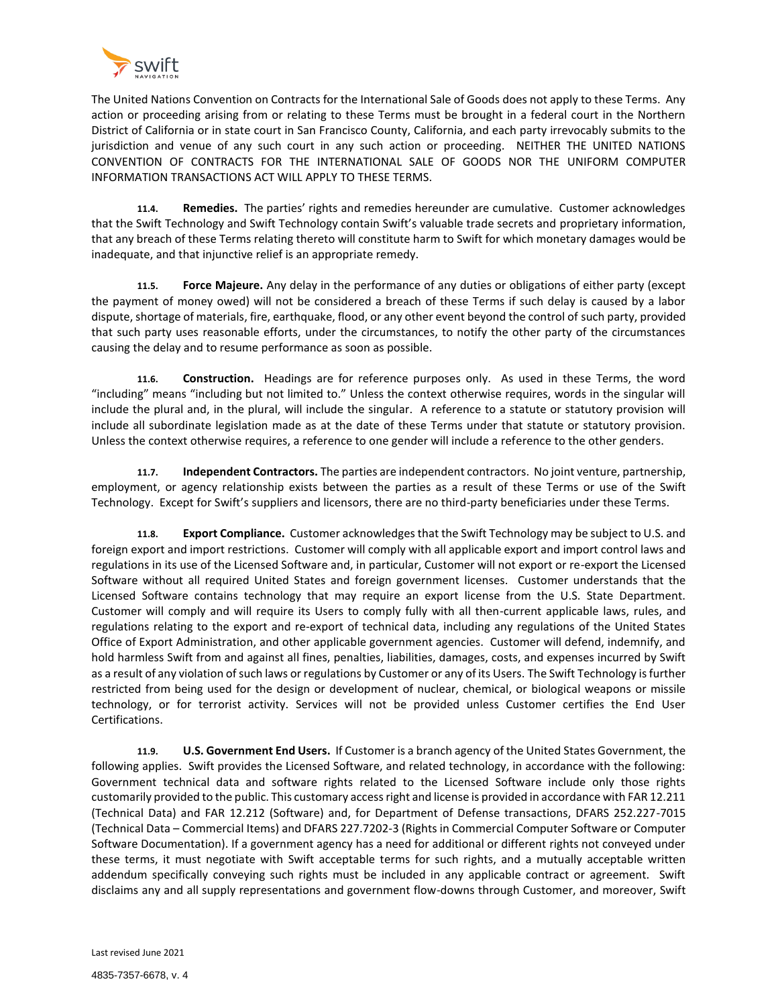

The United Nations Convention on Contracts for the International Sale of Goods does not apply to these Terms. Any action or proceeding arising from or relating to these Terms must be brought in a federal court in the Northern District of California or in state court in San Francisco County, California, and each party irrevocably submits to the jurisdiction and venue of any such court in any such action or proceeding. NEITHER THE UNITED NATIONS CONVENTION OF CONTRACTS FOR THE INTERNATIONAL SALE OF GOODS NOR THE UNIFORM COMPUTER INFORMATION TRANSACTIONS ACT WILL APPLY TO THESE TERMS.

**11.4. Remedies.** The parties' rights and remedies hereunder are cumulative. Customer acknowledges that the Swift Technology and Swift Technology contain Swift's valuable trade secrets and proprietary information, that any breach of these Terms relating thereto will constitute harm to Swift for which monetary damages would be inadequate, and that injunctive relief is an appropriate remedy.

**11.5. Force Majeure.** Any delay in the performance of any duties or obligations of either party (except the payment of money owed) will not be considered a breach of these Terms if such delay is caused by a labor dispute, shortage of materials, fire, earthquake, flood, or any other event beyond the control of such party, provided that such party uses reasonable efforts, under the circumstances, to notify the other party of the circumstances causing the delay and to resume performance as soon as possible.

**11.6. Construction.** Headings are for reference purposes only. As used in these Terms, the word "including" means "including but not limited to." Unless the context otherwise requires, words in the singular will include the plural and, in the plural, will include the singular. A reference to a statute or statutory provision will include all subordinate legislation made as at the date of these Terms under that statute or statutory provision. Unless the context otherwise requires, a reference to one gender will include a reference to the other genders.

**11.7. Independent Contractors.** The parties are independent contractors. No joint venture, partnership, employment, or agency relationship exists between the parties as a result of these Terms or use of the Swift Technology. Except for Swift's suppliers and licensors, there are no third-party beneficiaries under these Terms.

**11.8. Export Compliance.** Customer acknowledges that the Swift Technology may be subject to U.S. and foreign export and import restrictions. Customer will comply with all applicable export and import control laws and regulations in its use of the Licensed Software and, in particular, Customer will not export or re-export the Licensed Software without all required United States and foreign government licenses. Customer understands that the Licensed Software contains technology that may require an export license from the U.S. State Department. Customer will comply and will require its Users to comply fully with all then-current applicable laws, rules, and regulations relating to the export and re-export of technical data, including any regulations of the United States Office of Export Administration, and other applicable government agencies. Customer will defend, indemnify, and hold harmless Swift from and against all fines, penalties, liabilities, damages, costs, and expenses incurred by Swift as a result of any violation of such laws or regulations by Customer or any of its Users. The Swift Technology is further restricted from being used for the design or development of nuclear, chemical, or biological weapons or missile technology, or for terrorist activity. Services will not be provided unless Customer certifies the End User Certifications.

**11.9. U.S. Government End Users.** If Customer is a branch agency of the United States Government, the following applies. Swift provides the Licensed Software, and related technology, in accordance with the following: Government technical data and software rights related to the Licensed Software include only those rights customarily provided to the public. This customary access right and license is provided in accordance with FAR 12.211 (Technical Data) and FAR 12.212 (Software) and, for Department of Defense transactions, DFARS 252.227-7015 (Technical Data – Commercial Items) and DFARS 227.7202-3 (Rights in Commercial Computer Software or Computer Software Documentation). If a government agency has a need for additional or different rights not conveyed under these terms, it must negotiate with Swift acceptable terms for such rights, and a mutually acceptable written addendum specifically conveying such rights must be included in any applicable contract or agreement. Swift disclaims any and all supply representations and government flow-downs through Customer, and moreover, Swift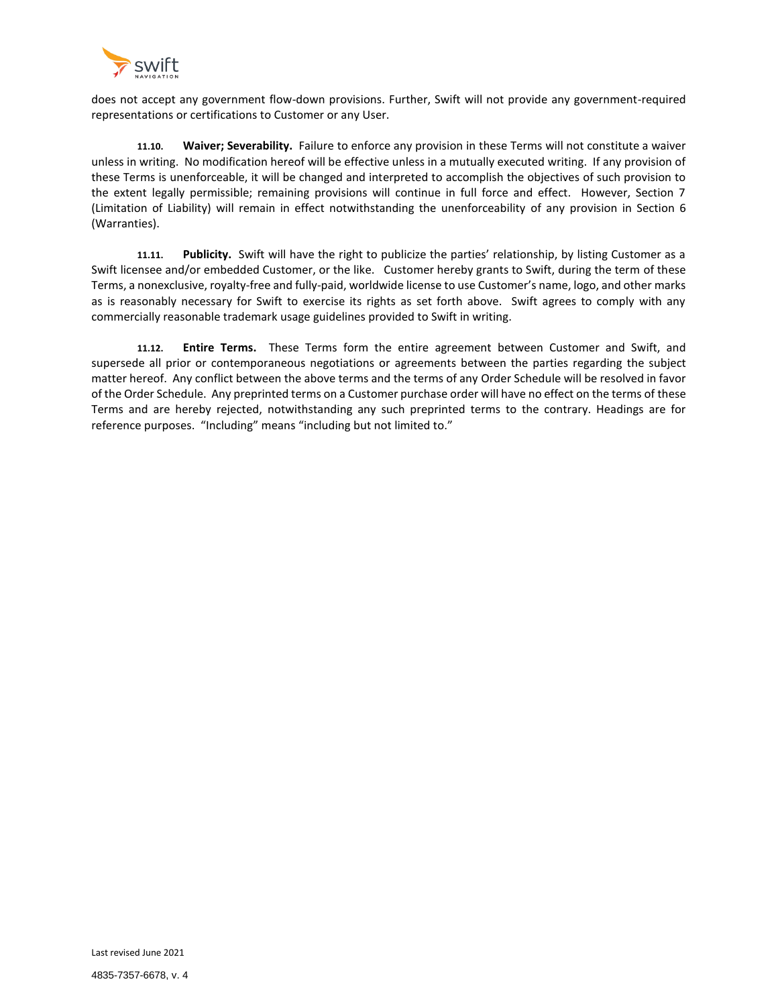

does not accept any government flow-down provisions. Further, Swift will not provide any government-required representations or certifications to Customer or any User.

**11.10. Waiver; Severability.** Failure to enforce any provision in these Terms will not constitute a waiver unless in writing. No modification hereof will be effective unless in a mutually executed writing. If any provision of these Terms is unenforceable, it will be changed and interpreted to accomplish the objectives of such provision to the extent legally permissible; remaining provisions will continue in full force and effect. However, Section 7 (Limitation of Liability) will remain in effect notwithstanding the unenforceability of any provision in Section 6 (Warranties).

**11.11. Publicity.** Swift will have the right to publicize the parties' relationship, by listing Customer as a Swift licensee and/or embedded Customer, or the like. Customer hereby grants to Swift, during the term of these Terms, a nonexclusive, royalty-free and fully-paid, worldwide license to use Customer's name, logo, and other marks as is reasonably necessary for Swift to exercise its rights as set forth above. Swift agrees to comply with any commercially reasonable trademark usage guidelines provided to Swift in writing.

**11.12. Entire Terms.** These Terms form the entire agreement between Customer and Swift, and supersede all prior or contemporaneous negotiations or agreements between the parties regarding the subject matter hereof. Any conflict between the above terms and the terms of any Order Schedule will be resolved in favor of the Order Schedule. Any preprinted terms on a Customer purchase order will have no effect on the terms of these Terms and are hereby rejected, notwithstanding any such preprinted terms to the contrary. Headings are for reference purposes. "Including" means "including but not limited to."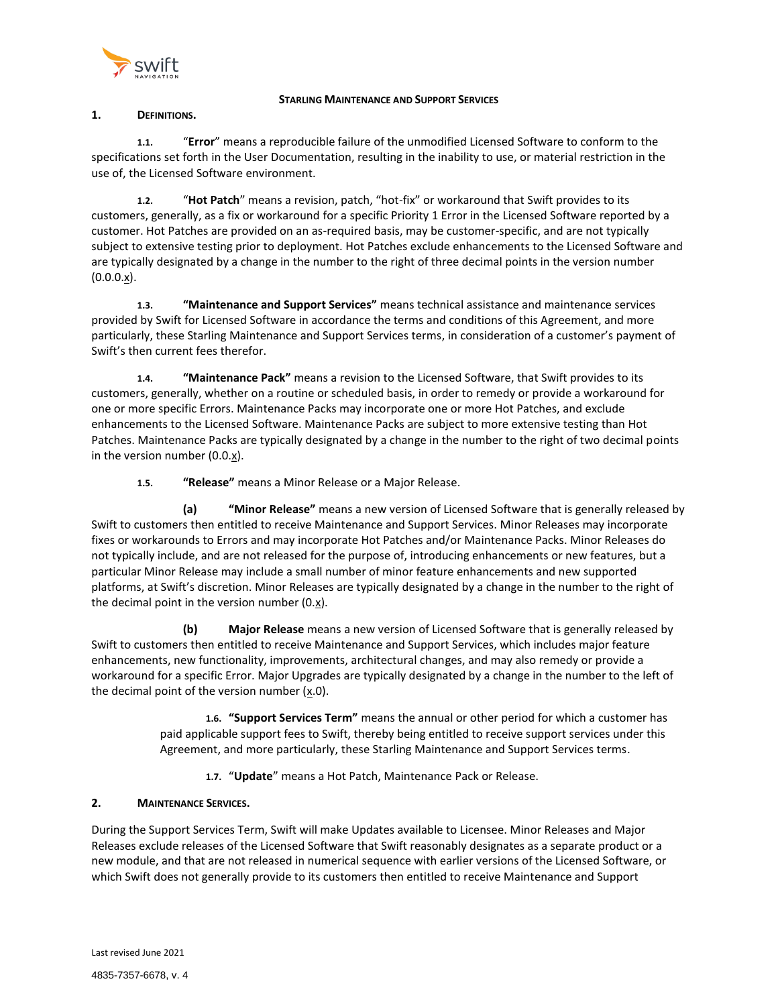

### **STARLING MAINTENANCE AND SUPPORT SERVICES**

# <span id="page-14-0"></span>**1. DEFINITIONS.**

**1.1.** "**Error**" means a reproducible failure of the unmodified Licensed Software to conform to the specifications set forth in the User Documentation, resulting in the inability to use, or material restriction in the use of, the Licensed Software environment.

**1.2.** "**Hot Patch**" means a revision, patch, "hot-fix" or workaround that Swift provides to its customers, generally, as a fix or workaround for a specific Priority 1 Error in the Licensed Software reported by a customer. Hot Patches are provided on an as-required basis, may be customer-specific, and are not typically subject to extensive testing prior to deployment. Hot Patches exclude enhancements to the Licensed Software and are typically designated by a change in the number to the right of three decimal points in the version number  $(0.0.0.x)$ .

**1.3. "Maintenance and Support Services"** means technical assistance and maintenance services provided by Swift for Licensed Software in accordance the terms and conditions of this Agreement, and more particularly, these Starling Maintenance and Support Services terms, in consideration of a customer's payment of Swift's then current fees therefor.

**1.4. "Maintenance Pack"** means a revision to the Licensed Software, that Swift provides to its customers, generally, whether on a routine or scheduled basis, in order to remedy or provide a workaround for one or more specific Errors. Maintenance Packs may incorporate one or more Hot Patches, and exclude enhancements to the Licensed Software. Maintenance Packs are subject to more extensive testing than Hot Patches. Maintenance Packs are typically designated by a change in the number to the right of two decimal points in the version number (0.0.x).

**1.5. "Release"** means a Minor Release or a Major Release.

**(a) "Minor Release"** means a new version of Licensed Software that is generally released by Swift to customers then entitled to receive Maintenance and Support Services. Minor Releases may incorporate fixes or workarounds to Errors and may incorporate Hot Patches and/or Maintenance Packs. Minor Releases do not typically include, and are not released for the purpose of, introducing enhancements or new features, but a particular Minor Release may include a small number of minor feature enhancements and new supported platforms, at Swift's discretion. Minor Releases are typically designated by a change in the number to the right of the decimal point in the version number (0.x).

**(b) Major Release** means a new version of Licensed Software that is generally released by Swift to customers then entitled to receive Maintenance and Support Services, which includes major feature enhancements, new functionality, improvements, architectural changes, and may also remedy or provide a workaround for a specific Error. Major Upgrades are typically designated by a change in the number to the left of the decimal point of the version number  $(x.0)$ .

> **1.6. "Support Services Term"** means the annual or other period for which a customer has paid applicable support fees to Swift, thereby being entitled to receive support services under this Agreement, and more particularly, these Starling Maintenance and Support Services terms.

**1.7.** "**Update**" means a Hot Patch, Maintenance Pack or Release.

# **2. MAINTENANCE SERVICES.**

During the Support Services Term, Swift will make Updates available to Licensee. Minor Releases and Major Releases exclude releases of the Licensed Software that Swift reasonably designates as a separate product or a new module, and that are not released in numerical sequence with earlier versions of the Licensed Software, or which Swift does not generally provide to its customers then entitled to receive Maintenance and Support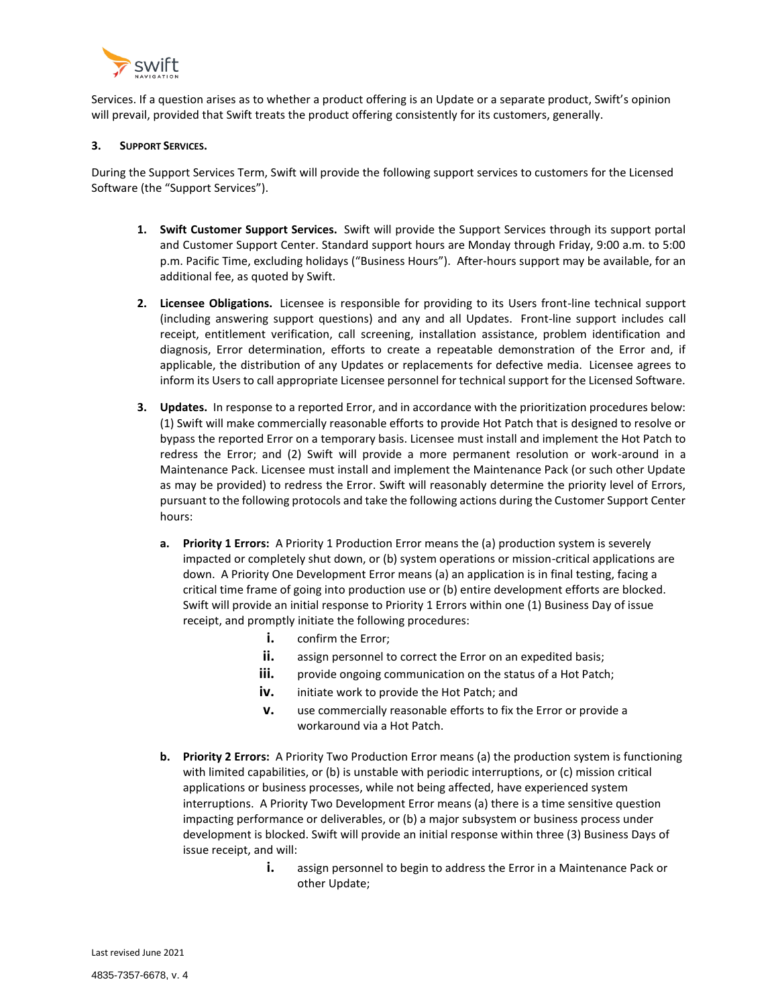

Services. If a question arises as to whether a product offering is an Update or a separate product, Swift's opinion will prevail, provided that Swift treats the product offering consistently for its customers, generally.

### **3. SUPPORT SERVICES.**

During the Support Services Term, Swift will provide the following support services to customers for the Licensed Software (the "Support Services").

- **1. Swift Customer Support Services.** Swift will provide the Support Services through its support portal and Customer Support Center. Standard support hours are Monday through Friday, 9:00 a.m. to 5:00 p.m. Pacific Time, excluding holidays ("Business Hours"). After-hours support may be available, for an additional fee, as quoted by Swift.
- **2. Licensee Obligations.** Licensee is responsible for providing to its Users front-line technical support (including answering support questions) and any and all Updates. Front-line support includes call receipt, entitlement verification, call screening, installation assistance, problem identification and diagnosis, Error determination, efforts to create a repeatable demonstration of the Error and, if applicable, the distribution of any Updates or replacements for defective media. Licensee agrees to inform its Users to call appropriate Licensee personnel for technical support for the Licensed Software.
- **3. Updates.** In response to a reported Error, and in accordance with the prioritization procedures below: (1) Swift will make commercially reasonable efforts to provide Hot Patch that is designed to resolve or bypass the reported Error on a temporary basis. Licensee must install and implement the Hot Patch to redress the Error; and (2) Swift will provide a more permanent resolution or work-around in a Maintenance Pack. Licensee must install and implement the Maintenance Pack (or such other Update as may be provided) to redress the Error. Swift will reasonably determine the priority level of Errors, pursuant to the following protocols and take the following actions during the Customer Support Center hours:
	- **a. Priority 1 Errors:** A Priority 1 Production Error means the (a) production system is severely impacted or completely shut down, or (b) system operations or mission-critical applications are down. A Priority One Development Error means (a) an application is in final testing, facing a critical time frame of going into production use or (b) entire development efforts are blocked. Swift will provide an initial response to Priority 1 Errors within one (1) Business Day of issue receipt, and promptly initiate the following procedures:
		- **i.** confirm the Error;
		- **ii.** assign personnel to correct the Error on an expedited basis;
		- **iii.** provide ongoing communication on the status of a Hot Patch;
		- **iv.** initiate work to provide the Hot Patch; and
		- **v.** use commercially reasonable efforts to fix the Error or provide a workaround via a Hot Patch.
	- **b. Priority 2 Errors:** A Priority Two Production Error means (a) the production system is functioning with limited capabilities, or (b) is unstable with periodic interruptions, or (c) mission critical applications or business processes, while not being affected, have experienced system interruptions. A Priority Two Development Error means (a) there is a time sensitive question impacting performance or deliverables, or (b) a major subsystem or business process under development is blocked. Swift will provide an initial response within three (3) Business Days of issue receipt, and will:
		- **i.** assign personnel to begin to address the Error in a Maintenance Pack or other Update;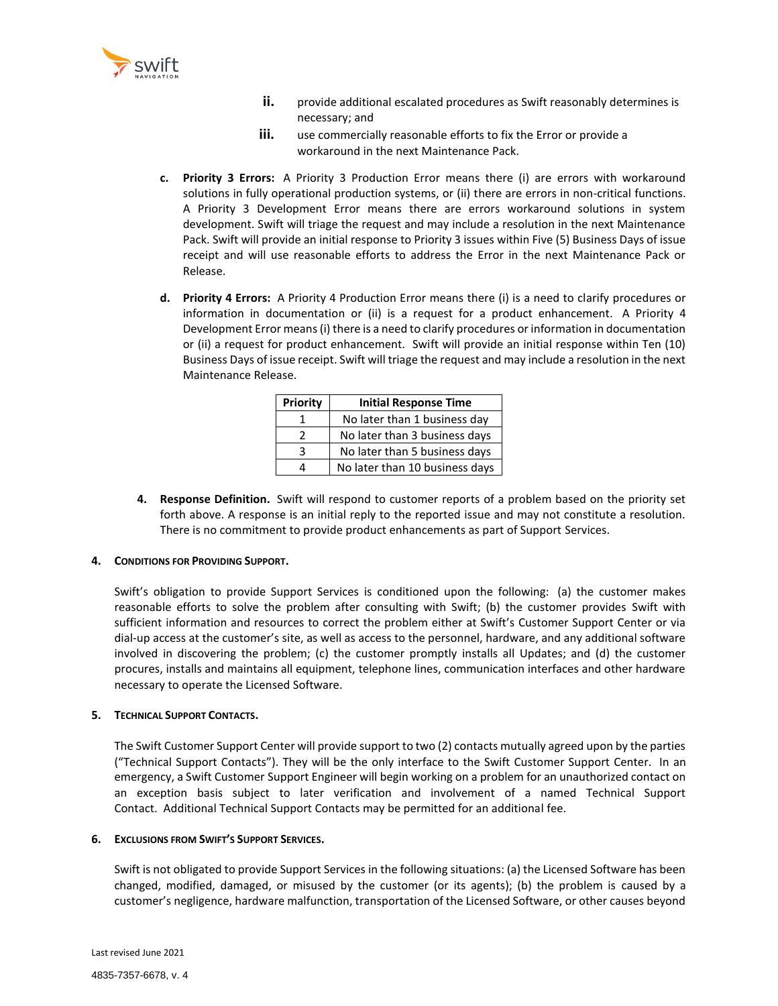

- **ii.** provide additional escalated procedures as Swift reasonably determines is necessary; and
- **iii.** use commercially reasonable efforts to fix the Error or provide a workaround in the next Maintenance Pack.
- **c. Priority 3 Errors:** A Priority 3 Production Error means there (i) are errors with workaround solutions in fully operational production systems, or (ii) there are errors in non-critical functions. A Priority 3 Development Error means there are errors workaround solutions in system development. Swift will triage the request and may include a resolution in the next Maintenance Pack. Swift will provide an initial response to Priority 3 issues within Five (5) Business Days of issue receipt and will use reasonable efforts to address the Error in the next Maintenance Pack or Release.
- **d. Priority 4 Errors:** A Priority 4 Production Error means there (i) is a need to clarify procedures or information in documentation or (ii) is a request for a product enhancement. A Priority 4 Development Error means (i) there is a need to clarify procedures or information in documentation or (ii) a request for product enhancement. Swift will provide an initial response within Ten (10) Business Days of issue receipt. Swift will triage the request and may include a resolution in the next Maintenance Release.

| <b>Priority</b> | <b>Initial Response Time</b>   |
|-----------------|--------------------------------|
|                 | No later than 1 business day   |
| 2               | No later than 3 business days  |
| 3               | No later than 5 business days  |
| 4               | No later than 10 business days |

**4. Response Definition.** Swift will respond to customer reports of a problem based on the priority set forth above. A response is an initial reply to the reported issue and may not constitute a resolution. There is no commitment to provide product enhancements as part of Support Services.

#### **4. CONDITIONS FOR PROVIDING SUPPORT.**

Swift's obligation to provide Support Services is conditioned upon the following: (a) the customer makes reasonable efforts to solve the problem after consulting with Swift; (b) the customer provides Swift with sufficient information and resources to correct the problem either at Swift's Customer Support Center or via dial-up access at the customer's site, as well as access to the personnel, hardware, and any additional software involved in discovering the problem; (c) the customer promptly installs all Updates; and (d) the customer procures, installs and maintains all equipment, telephone lines, communication interfaces and other hardware necessary to operate the Licensed Software.

#### **5. TECHNICAL SUPPORT CONTACTS.**

The Swift Customer Support Center will provide support to two (2) contacts mutually agreed upon by the parties ("Technical Support Contacts"). They will be the only interface to the Swift Customer Support Center. In an emergency, a Swift Customer Support Engineer will begin working on a problem for an unauthorized contact on an exception basis subject to later verification and involvement of a named Technical Support Contact. Additional Technical Support Contacts may be permitted for an additional fee.

#### **6. EXCLUSIONS FROM SWIFT'S SUPPORT SERVICES.**

Swift is not obligated to provide Support Services in the following situations: (a) the Licensed Software has been changed, modified, damaged, or misused by the customer (or its agents); (b) the problem is caused by a customer's negligence, hardware malfunction, transportation of the Licensed Software, or other causes beyond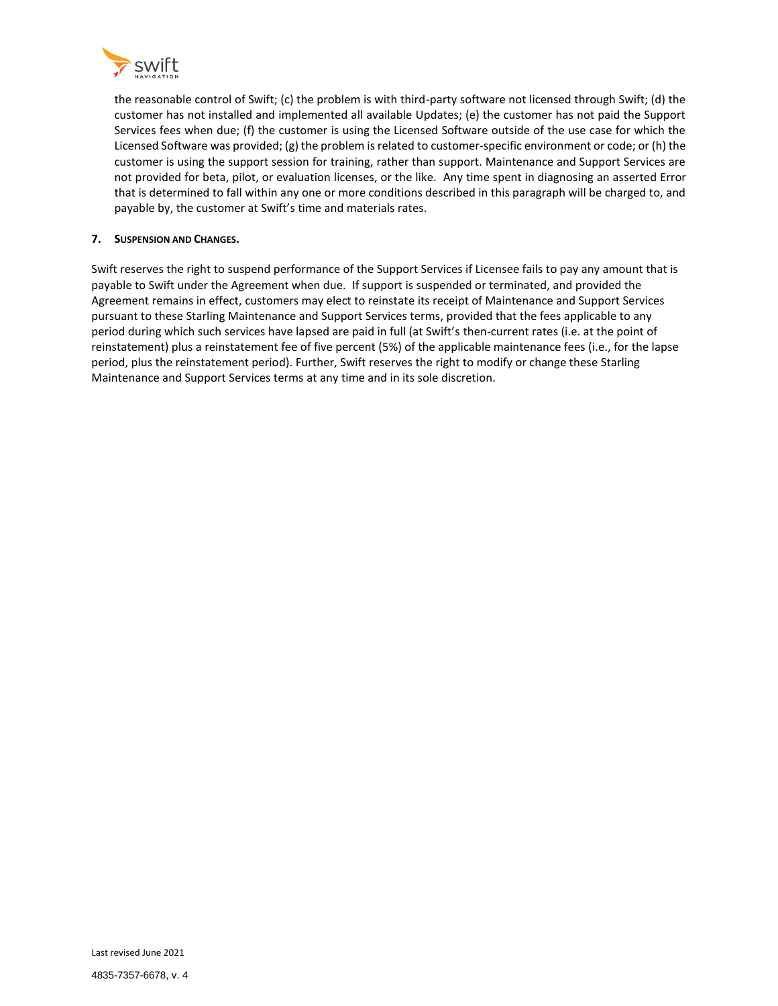

the reasonable control of Swift; (c) the problem is with third-party software not licensed through Swift; (d) the customer has not installed and implemented all available Updates; (e) the customer has not paid the Support Services fees when due; (f) the customer is using the Licensed Software outside of the use case for which the Licensed Software was provided; (g) the problem is related to customer-specific environment or code; or (h) the customer is using the support session for training, rather than support. Maintenance and Support Services are not provided for beta, pilot, or evaluation licenses, or the like. Any time spent in diagnosing an asserted Error that is determined to fall within any one or more conditions described in this paragraph will be charged to, and payable by, the customer at Swift's time and materials rates.

## **7. SUSPENSION AND CHANGES.**

Swift reserves the right to suspend performance of the Support Services if Licensee fails to pay any amount that is payable to Swift under the Agreement when due. If support is suspended or terminated, and provided the Agreement remains in effect, customers may elect to reinstate its receipt of Maintenance and Support Services pursuant to these Starling Maintenance and Support Services terms, provided that the fees applicable to any period during which such services have lapsed are paid in full (at Swift's then-current rates (i.e. at the point of reinstatement) plus a reinstatement fee of five percent (5%) of the applicable maintenance fees (i.e., for the lapse period, plus the reinstatement period). Further, Swift reserves the right to modify or change these Starling Maintenance and Support Services terms at any time and in its sole discretion.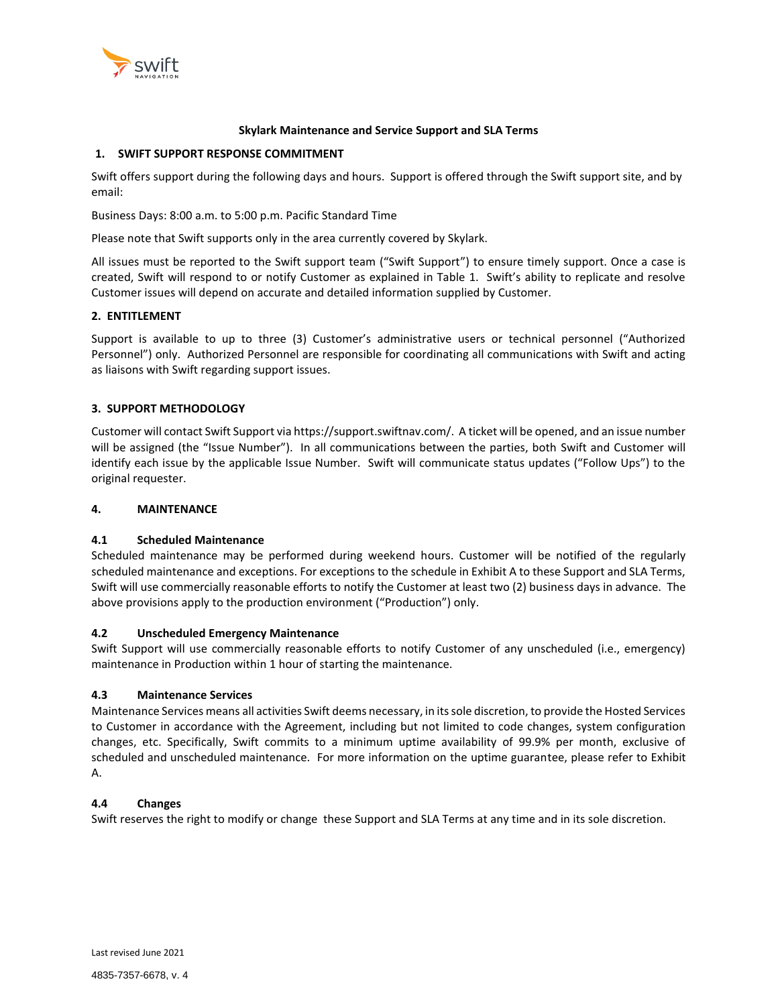

### **Skylark Maintenance and Service Support and SLA Terms**

## <span id="page-18-0"></span>**1. SWIFT SUPPORT RESPONSE COMMITMENT**

Swift offers support during the following days and hours. Support is offered through the Swift support site, and by email:

Business Days: 8:00 a.m. to 5:00 p.m. Pacific Standard Time

Please note that Swift supports only in the area currently covered by Skylark.

All issues must be reported to the Swift support team ("Swift Support") to ensure timely support. Once a case is created, Swift will respond to or notify Customer as explained in Table 1. Swift's ability to replicate and resolve Customer issues will depend on accurate and detailed information supplied by Customer.

## **2. ENTITLEMENT**

Support is available to up to three (3) Customer's administrative users or technical personnel ("Authorized Personnel") only. Authorized Personnel are responsible for coordinating all communications with Swift and acting as liaisons with Swift regarding support issues.

## **3. SUPPORT METHODOLOGY**

Customer will contact Swift Support via https://support.swiftnav.com/. A ticket will be opened, and an issue number will be assigned (the "Issue Number"). In all communications between the parties, both Swift and Customer will identify each issue by the applicable Issue Number. Swift will communicate status updates ("Follow Ups") to the original requester.

#### **4. MAINTENANCE**

#### **4.1 Scheduled Maintenance**

Scheduled maintenance may be performed during weekend hours. Customer will be notified of the regularly scheduled maintenance and exceptions. For exceptions to the schedule in Exhibit A to these Support and SLA Terms, Swift will use commercially reasonable efforts to notify the Customer at least two (2) business days in advance. The above provisions apply to the production environment ("Production") only.

#### **4.2 Unscheduled Emergency Maintenance**

Swift Support will use commercially reasonable efforts to notify Customer of any unscheduled (i.e., emergency) maintenance in Production within 1 hour of starting the maintenance.

#### **4.3 Maintenance Services**

Maintenance Services means all activities Swift deems necessary, in its sole discretion, to provide the Hosted Services to Customer in accordance with the Agreement, including but not limited to code changes, system configuration changes, etc. Specifically, Swift commits to a minimum uptime availability of 99.9% per month, exclusive of scheduled and unscheduled maintenance. For more information on the uptime guarantee, please refer to Exhibit A.

## **4.4 Changes**

Swift reserves the right to modify or change these Support and SLA Terms at any time and in its sole discretion.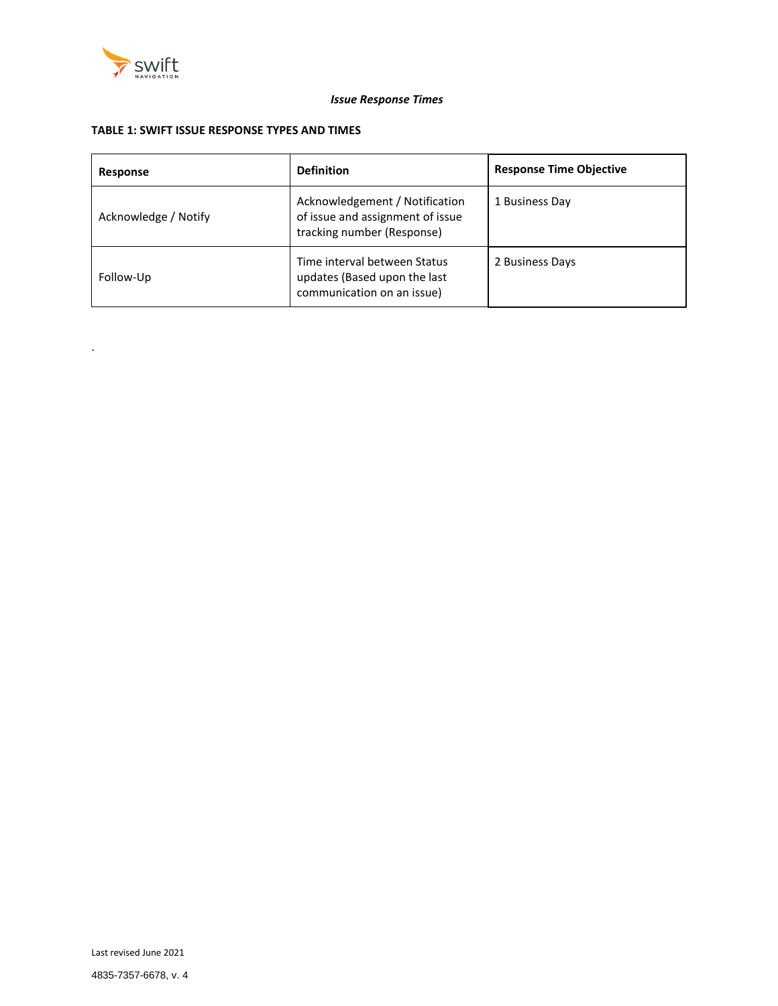

.

# *Issue Response Times*

# **TABLE 1: SWIFT ISSUE RESPONSE TYPES AND TIMES**

| Response             | <b>Definition</b>                                                                                | <b>Response Time Objective</b> |
|----------------------|--------------------------------------------------------------------------------------------------|--------------------------------|
| Acknowledge / Notify | Acknowledgement / Notification<br>of issue and assignment of issue<br>tracking number (Response) | 1 Business Day                 |
| Follow-Up            | Time interval between Status<br>updates (Based upon the last<br>communication on an issue)       | 2 Business Days                |

Last revised June 2021